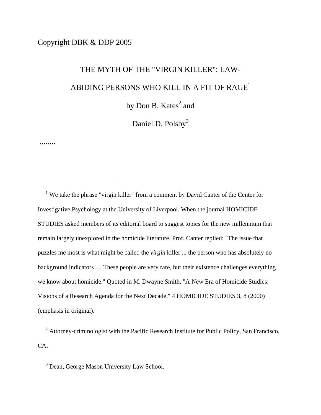# Copyright DBK & DDP 2005

........

 $\overline{a}$ 

# THE MYTH OF THE "VIRGIN KILLER": LAW- ABIDING PERSONS WHO KILL IN A FIT OF  $\mathbf{RAGE}^1$  $\mathbf{RAGE}^1$ by Don B.  $Kates^2$  $Kates^2$  and

Daniel D. Polsby<sup>3</sup>

<span id="page-0-0"></span><sup>1</sup> We take the phrase "virgin killer" from a comment by David Canter of the Center for Investigative Psychology at the University of Liverpool. When the journal HOMICIDE STUDIES asked members of its editorial board to suggest topics for the new millennium that remain largely unexplored in the homicide literature, Prof. Canter replied: "The issue that puzzles me most is what might be called the *virgin* killer ... the person who has absolutely no background indicators .... These people are very rare, but their existence challenges everything we know about homicide." Quoted in M. Dwayne Smith, "A New Era of Homicide Studies: Visions of a Research Agenda for the Next Decade," 4 HOMICIDE STUDIES 3, 8 (2000) (emphasis in original).

<span id="page-0-1"></span><sup>2</sup> Attorney-criminologist with the Pacific Research Institute for Public Policy, San Francisco, CA.

<span id="page-0-2"></span><sup>3</sup> Dean, George Mason University Law School.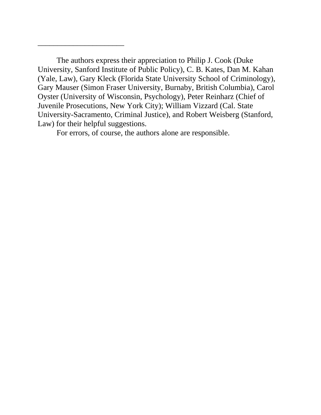The authors express their appreciation to Philip J. Cook (Duke University, Sanford Institute of Public Policy), C. B. Kates, Dan M. Kahan (Yale, Law), Gary Kleck (Florida State University School of Criminology), Gary Mauser (Simon Fraser University, Burnaby, British Columbia), Carol Oyster (University of Wisconsin, Psychology), Peter Reinharz (Chief of Juvenile Prosecutions, New York City); William Vizzard (Cal. State University-Sacramento, Criminal Justice), and Robert Weisberg (Stanford, Law) for their helpful suggestions.

For errors, of course, the authors alone are responsible.

\_\_\_\_\_\_\_\_\_\_\_\_\_\_\_\_\_\_\_\_\_\_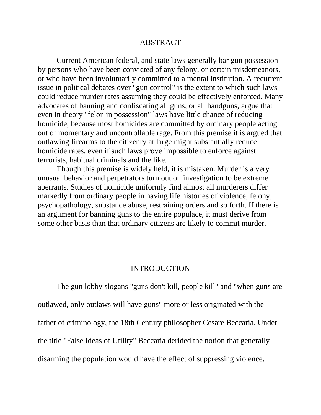#### ABSTRACT

 Current American federal, and state laws generally bar gun possession by persons who have been convicted of any felony, or certain misdemeanors, or who have been involuntarily committed to a mental institution. A recurrent issue in political debates over "gun control" is the extent to which such laws could reduce murder rates assuming they could be effectively enforced. Many advocates of banning and confiscating all guns, or all handguns, argue that even in theory "felon in possession" laws have little chance of reducing homicide, because most homicides are committed by ordinary people acting out of momentary and uncontrollable rage. From this premise it is argued that outlawing firearms to the citizenry at large might substantially reduce homicide rates, even if such laws prove impossible to enforce against terrorists, habitual criminals and the like.

 Though this premise is widely held, it is mistaken. Murder is a very unusual behavior and perpetrators turn out on investigation to be extreme aberrants. Studies of homicide uniformly find almost all murderers differ markedly from ordinary people in having life histories of violence, felony, psychopathology, substance abuse, restraining orders and so forth. If there is an argument for banning guns to the entire populace, it must derive from some other basis than that ordinary citizens are likely to commit murder.

#### INTRODUCTION

 The gun lobby slogans "guns don't kill, people kill" and "when guns are outlawed, only outlaws will have guns" more or less originated with the father of criminology, the 18th Century philosopher Cesare Beccaria. Under the title "False Ideas of Utility" Beccaria derided the notion that generally disarming the population would have the effect of suppressing violence.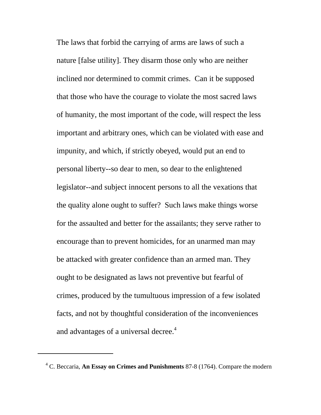The laws that forbid the carrying of arms are laws of such a nature [false utility]. They disarm those only who are neither inclined nor determined to commit crimes. Can it be supposed that those who have the courage to violate the most sacred laws of humanity, the most important of the code, will respect the less important and arbitrary ones, which can be violated with ease and impunity, and which, if strictly obeyed, would put an end to personal liberty--so dear to men, so dear to the enlightened legislator--and subject innocent persons to all the vexations that the quality alone ought to suffer? Such laws make things worse for the assaulted and better for the assailants; they serve rather to encourage than to prevent homicides, for an unarmed man may be attacked with greater confidence than an armed man. They ought to be designated as laws not preventive but fearful of crimes, produced by the tumultuous impression of a few isolated facts, and not by thoughtful consideration of the inconveniences and advantages of a universal decree.<sup>4</sup>

<span id="page-3-0"></span><sup>4</sup> C. Beccaria, **An Essay on Crimes and Punishments** 87-8 (1764). Compare the modern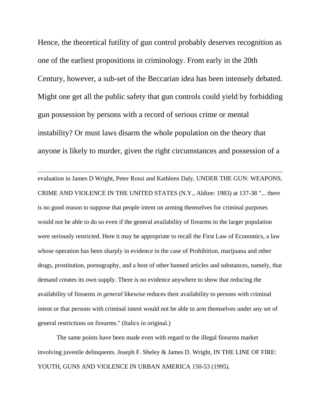Hence, the theoretical futility of gun control probably deserves recognition as one of the earliest propositions in criminology. From early in the 20th Century, however, a sub-set of the Beccarian idea has been intensely debated. Might one get all the public safety that gun controls could yield by forbidding gun possession by persons with a record of serious crime or mental instability? Or must laws disarm the whole population on the theory that anyone is likely to murder, given the right circumstances and possession of a

 $\overline{a}$ 

evaluation in James D Wright, Peter Rossi and Kathleen Daly, UNDER THE GUN: WEAPONS, CRIME AND VIOLENCE IN THE UNITED STATES (N.Y., Aldine: 1983) at 137-38 "... there is no good reason to suppose that people intent on arming themselves for criminal purposes would not be able to do so even if the general availability of firearms to the larger population were seriously restricted. Here it may be appropriate to recall the First Law of Economics, a law whose operation has been sharply in evidence in the case of Prohibition, marijuana and other drugs, prostitution, pornography, and a host of other banned articles and substances, namely, that demand creates its own supply. There is no evidence anywhere to show that reducing the availability of firearms *in general* likewise reduces their availability to persons with criminal intent or that persons with criminal intent would not be able to arm themselves under any set of general restrictions on firearms." (Italics in original.)

 The same points have been made even with regard to the illegal firearms market involving juvenile delinquents. Joseph F. Sheley & James D. Wright, IN THE LINE OF FIRE: YOUTH, GUNS AND VIOLENCE IN URBAN AMERICA 150-53 (1995).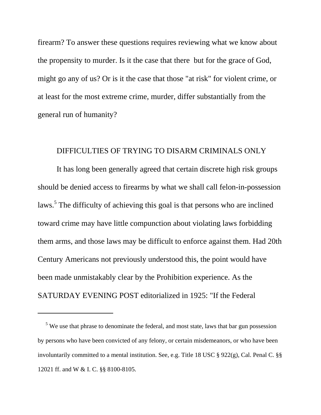firearm? To answer these questions requires reviewing what we know about the propensity to murder. Is it the case that there but for the grace of God, might go any of us? Or is it the case that those "at risk" for violent crime, or at least for the most extreme crime, murder, differ substantially from the general run of humanity?

## DIFFICULTIES OF TRYING TO DISARM CRIMINALS ONLY

 It has long been generally agreed that certain discrete high risk groups should be denied access to firearms by what we shall call felon-in-possession laws.<sup>[5](#page-5-0)</sup> The difficulty of achieving this goal is that persons who are inclined toward crime may have little compunction about violating laws forbidding them arms, and those laws may be difficult to enforce against them. Had 20th Century Americans not previously understood this, the point would have been made unmistakably clear by the Prohibition experience. As the SATURDAY EVENING POST editorialized in 1925: "If the Federal

<span id="page-5-0"></span><sup>&</sup>lt;sup>5</sup> We use that phrase to denominate the federal, and most state, laws that bar gun possession by persons who have been convicted of any felony, or certain misdemeanors, or who have been involuntarily committed to a mental institution. See, e.g. Title 18 USC § 922(g), Cal. Penal C. §§ 12021 ff. and W & I. C. §§ 8100-8105.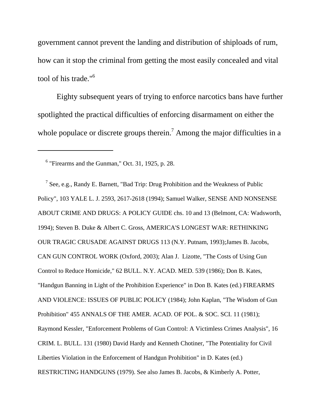government cannot prevent the landing and distribution of shiploads of rum, how can it stop the criminal from getting the most easily concealed and vital tool of his trade."<sup>[6](#page-6-0)</sup>

 Eighty subsequent years of trying to enforce narcotics bans have further spotlighted the practical difficulties of enforcing disarmament on either the whole populace or discrete groups therein.<sup>7</sup> Among the major difficulties in a

 $\overline{a}$ 

<span id="page-6-1"></span><sup>7</sup> See, e.g., Randy E. Barnett, "Bad Trip: Drug Prohibition and the Weakness of Public Policy", 103 YALE L. J. 2593, 2617-2618 (1994); Samuel Walker, SENSE AND NONSENSE ABOUT CRIME AND DRUGS: A POLICY GUIDE chs. 10 and 13 (Belmont, CA: Wadsworth, 1994); Steven B. Duke & Albert C. Gross, AMERICA'S LONGEST WAR: RETHINKING OUR TRAGIC CRUSADE AGAINST DRUGS 113 (N.Y. Putnam, 1993);James B. Jacobs, CAN GUN CONTROL WORK (Oxford, 2003); Alan J. Lizotte, "The Costs of Using Gun Control to Reduce Homicide," 62 BULL. N.Y. ACAD. MED. 539 (1986); Don B. Kates, "Handgun Banning in Light of the Prohibition Experience" in Don B. Kates (ed.) FIREARMS AND VIOLENCE: ISSUES OF PUBLIC POLICY (1984); John Kaplan, "The Wisdom of Gun Prohibition" 455 ANNALS OF THE AMER. ACAD. OF POL. & SOC. SCI. 11 (1981); Raymond Kessler, "Enforcement Problems of Gun Control: A Victimless Crimes Analysis", 16 CRIM. L. BULL. 131 (1980) David Hardy and Kenneth Chotiner, "The Potentiality for Civil Liberties Violation in the Enforcement of Handgun Prohibition" in D. Kates (ed.) RESTRICTING HANDGUNS (1979). See also James B. Jacobs, & Kimberly A. Potter,

<span id="page-6-0"></span><sup>6</sup> "Firearms and the Gunman," Oct. 31, 1925, p. 28.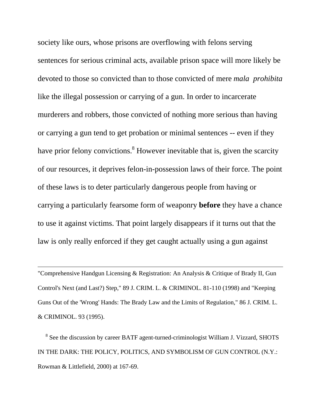society like ours, whose prisons are overflowing with felons serving sentences for serious criminal acts, available prison space will more likely be devoted to those so convicted than to those convicted of mere *mala prohibita* like the illegal possession or carrying of a gun. In order to incarcerate murderers and robbers, those convicted of nothing more serious than having or carrying a gun tend to get probation or minimal sentences -- even if they have prior felony convictions.<sup>[8](#page-7-0)</sup> However inevitable that is, given the scarcity of our resources, it deprives felon-in-possession laws of their force. The point of these laws is to deter particularly dangerous people from having or carrying a particularly fearsome form of weaponry **before** they have a chance to use it against victims. That point largely disappears if it turns out that the law is only really enforced if they get caught actually using a gun against

"Comprehensive Handgun Licensing & Registration: An Analysis & Critique of Brady II, Gun Control's Next (and Last?) Step," 89 J. CRIM. L. & CRIMINOL. 81-110 (1998) and "Keeping Guns Out of the 'Wrong' Hands: The Brady Law and the Limits of Regulation," 86 J. CRIM. L. & CRIMINOL. 93 (1995).

 $\overline{a}$ 

<span id="page-7-0"></span><sup>8</sup> See the discussion by career BATF agent-turned-criminologist William J. Vizzard, SHOTS IN THE DARK: THE POLICY, POLITICS, AND SYMBOLISM OF GUN CONTROL (N.Y.: Rowman & Littlefield, 2000) at 167-69.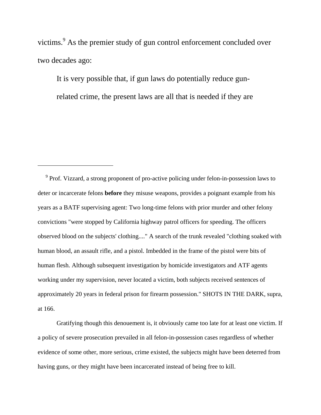victims.<sup>[9](#page-8-0)</sup> As the premier study of gun control enforcement concluded over two decades ago:

It is very possible that, if gun laws do potentially reduce gunrelated crime, the present laws are all that is needed if they are

 $\overline{a}$ 

<span id="page-8-0"></span><sup>9</sup> Prof. Vizzard, a strong proponent of pro-active policing under felon-in-possession laws to deter or incarcerate felons **before** they misuse weapons, provides a poignant example from his years as a BATF supervising agent: Two long-time felons with prior murder and other felony convictions "were stopped by California highway patrol officers for speeding. The officers observed blood on the subjects' clothing...." A search of the trunk revealed "clothing soaked with human blood, an assault rifle, and a pistol. Imbedded in the frame of the pistol were bits of human flesh. Although subsequent investigation by homicide investigators and ATF agents working under my supervision, never located a victim, both subjects received sentences of approximately 20 years in federal prison for firearm possession." SHOTS IN THE DARK, supra, at 166.

 Gratifying though this denouement is, it obviously came too late for at least one victim. If a policy of severe prosecution prevailed in all felon-in-possession cases regardless of whether evidence of some other, more serious, crime existed, the subjects might have been deterred from having guns, or they might have been incarcerated instead of being free to kill.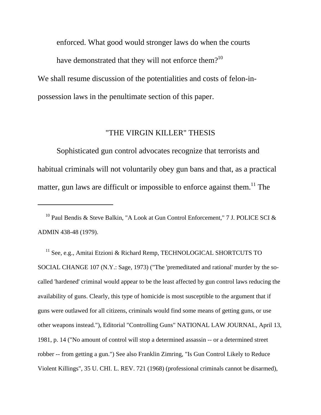enforced. What good would stronger laws do when the courts have demonstrated that they will not enforce them? $10$ We shall resume discussion of the potentialities and costs of felon-inpossession laws in the penultimate section of this paper.

# "THE VIRGIN KILLER" THESIS

 Sophisticated gun control advocates recognize that terrorists and habitual criminals will not voluntarily obey gun bans and that, as a practical matter, gun laws are difficult or impossible to enforce against them.<sup>11</sup> The

 $\overline{a}$ 

<span id="page-9-1"></span><sup>11</sup> See, e.g., Amitai Etzioni & Richard Remp, TECHNOLOGICAL SHORTCUTS TO SOCIAL CHANGE 107 (N.Y.: Sage, 1973) ("The 'premeditated and rational' murder by the socalled 'hardened' criminal would appear to be the least affected by gun control laws reducing the availability of guns. Clearly, this type of homicide is most susceptible to the argument that if guns were outlawed for all citizens, criminals would find some means of getting guns, or use other weapons instead."), Editorial "Controlling Guns" NATIONAL LAW JOURNAL, April 13, 1981, p. 14 ("No amount of control will stop a determined assassin -- or a determined street robber -- from getting a gun.") See also Franklin Zimring, "Is Gun Control Likely to Reduce Violent Killings", 35 U. CHI. L. REV. 721 (1968) (professional criminals cannot be disarmed),

<span id="page-9-0"></span>10 Paul Bendis & Steve Balkin, "A Look at Gun Control Enforcement," 7 J. POLICE SCI & ADMIN 438-48 (1979).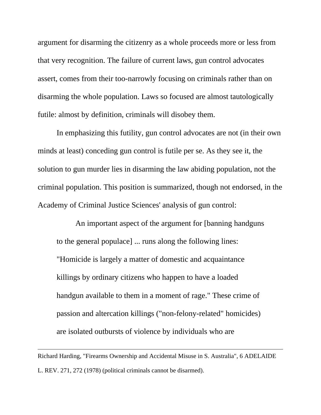argument for disarming the citizenry as a whole proceeds more or less from that very recognition. The failure of current laws, gun control advocates assert, comes from their too-narrowly focusing on criminals rather than on disarming the whole population. Laws so focused are almost tautologically futile: almost by definition, criminals will disobey them.

 In emphasizing this futility, gun control advocates are not (in their own minds at least) conceding gun control is futile per se. As they see it, the solution to gun murder lies in disarming the law abiding population, not the criminal population. This position is summarized, though not endorsed, in the Academy of Criminal Justice Sciences' analysis of gun control:

 An important aspect of the argument for [banning handguns to the general populace] ... runs along the following lines: "Homicide is largely a matter of domestic and acquaintance killings by ordinary citizens who happen to have a loaded handgun available to them in a moment of rage." These crime of passion and altercation killings ("non-felony-related" homicides) are isolated outbursts of violence by individuals who are

Richard Harding, "Firearms Ownership and Accidental Misuse in S. Australia", 6 ADELAIDE L. REV. 271, 272 (1978) (political criminals cannot be disarmed).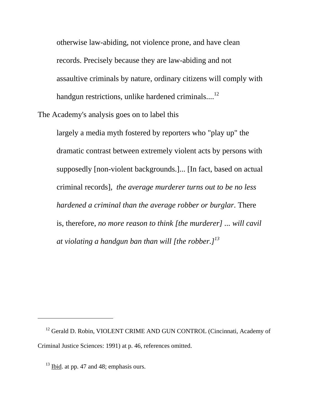otherwise law-abiding, not violence prone, and have clean records. Precisely because they are law-abiding and not assaultive criminals by nature, ordinary citizens will comply with handgun restrictions, unlike hardened criminals... $^{12}$  $^{12}$  $^{12}$ 

The Academy's analysis goes on to label this

largely a media myth fostered by reporters who "play up" the dramatic contrast between extremely violent acts by persons with supposedly [non-violent backgrounds.]... [In fact, based on actual criminal records], *the average murderer turns out to be no less hardened a criminal than the average robber or burglar*. There is, therefore, *no more reason to think [the murderer] ... will cavil at violating a handgun ban than will [the robber.][13](#page-11-1)*

<span id="page-11-0"></span><sup>&</sup>lt;sup>12</sup> Gerald D. Robin, VIOLENT CRIME AND GUN CONTROL (Cincinnati, Academy of Criminal Justice Sciences: 1991) at p. 46, references omitted.

<span id="page-11-1"></span> $13$  Ibid. at pp. 47 and 48; emphasis ours.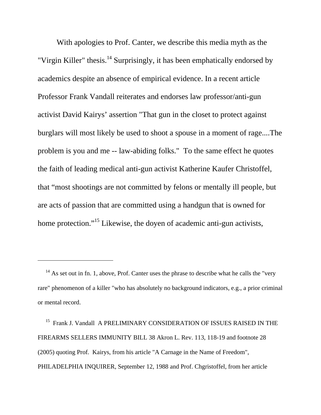With apologies to Prof. Canter, we describe this media myth as the "Virgin Killer" thesis.<sup>14</sup> Surprisingly, it has been emphatically endorsed by academics despite an absence of empirical evidence. In a recent article Professor Frank Vandall reiterates and endorses law professor/anti-gun activist David Kairys' assertion "That gun in the closet to protect against burglars will most likely be used to shoot a spouse in a moment of rage....The problem is you and me -- law-abiding folks." To the same effect he quotes the faith of leading medical anti-gun activist Katherine Kaufer Christoffel, that "most shootings are not committed by felons or mentally ill people, but are acts of passion that are committed using a handgun that is owned for home protection."<sup>15</sup> Likewise, the doyen of academic anti-gun activists,

 $\overline{a}$ 

<span id="page-12-1"></span><sup>15</sup> Frank J. Vandall A PRELIMINARY CONSIDERATION OF ISSUES RAISED IN THE FIREARMS SELLERS IMMUNITY BILL 38 Akron L. Rev. 113, 118-19 and footnote 28 (2005) quoting Prof. Kairys, from his article "A Carnage in the Name of Freedom", PHILADELPHIA INQUIRER, September 12, 1988 and Prof. Chgristoffel, from her article

<span id="page-12-0"></span> $14$  As set out in fn. 1, above, Prof. Canter uses the phrase to describe what he calls the "very" rare" phenomenon of a killer "who has absolutely no background indicators, e.g., a prior criminal or mental record.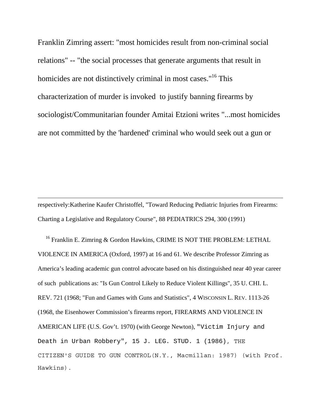Franklin Zimring assert: "most homicides result from non-criminal social relations" -- "the social processes that generate arguments that result in homicides are not distinctively criminal in most cases."<sup>16</sup> This characterization of murder is invoked to justify banning firearms by sociologist/Communitarian founder Amitai Etzioni writes "...most homicides are not committed by the 'hardened' criminal who would seek out a gun or

respectively:Katherine Kaufer Christoffel, "Toward Reducing Pediatric Injuries from Firearms: Charting a Legislative and Regulatory Course", 88 PEDIATRICS 294, 300 (1991)

 $\overline{a}$ 

<span id="page-13-0"></span><sup>16</sup> Franklin E. Zimring & Gordon Hawkins, CRIME IS NOT THE PROBLEM: LETHAL VIOLENCE IN AMERICA (Oxford, 1997) at 16 and 61. We describe Professor Zimring as America's leading academic gun control advocate based on his distinguished near 40 year career of such publications as: "Is Gun Control Likely to Reduce Violent Killings", 35 U. CHI. L. REV. 721 (1968; "Fun and Games with Guns and Statistics", 4 WISCONSIN L. REV. 1113-26 (1968, the Eisenhower Commission's firearms report, FIREARMS AND VIOLENCE IN AMERICAN LIFE (U.S. Gov't. 1970) (with George Newton), "Victim Injury and Death in Urban Robbery", 15 J. LEG. STUD. 1 (1986), THE CITIZEN'S GUIDE TO GUN CONTROL(N.Y., Macmillan: 1987) (with Prof. Hawkins).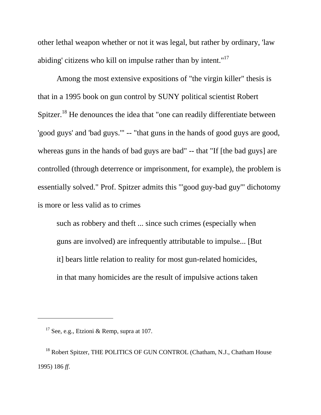other lethal weapon whether or not it was legal, but rather by ordinary, 'law abiding' citizens who kill on impulse rather than by intent."<sup>17</sup>

 Among the most extensive expositions of "the virgin killer" thesis is that in a 1995 book on gun control by SUNY political scientist Robert Spitzer.<sup>18</sup> He denounces the idea that "one can readily differentiate between 'good guys' and 'bad guys.'" -- "that guns in the hands of good guys are good, whereas guns in the hands of bad guys are bad" -- that "If [the bad guys] are controlled (through deterrence or imprisonment, for example), the problem is essentially solved." Prof. Spitzer admits this "'good guy-bad guy'" dichotomy is more or less valid as to crimes

such as robbery and theft ... since such crimes (especially when guns are involved) are infrequently attributable to impulse... [But it] bears little relation to reality for most gun-related homicides, in that many homicides are the result of impulsive actions taken

<span id="page-14-0"></span><sup>&</sup>lt;sup>17</sup> See, e.g., Etzioni & Remp, supra at 107.

<span id="page-14-1"></span><sup>&</sup>lt;sup>18</sup> Robert Spitzer, THE POLITICS OF GUN CONTROL (Chatham, N.J., Chatham House 1995) 186 *ff*.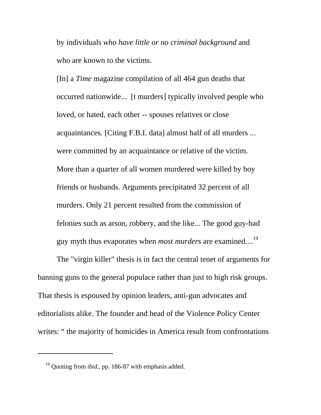by individuals *who have little or no criminal background* and who are known to the victims.

[In] a *Time* magazine compilation of all 464 gun deaths that occurred nationwide... [t murders] typically involved people who loved, or hated, each other -- spouses relatives or close acquaintances. [Citing F.B.I. data] almost half of all murders ... were committed by an acquaintance or relative of the victim. More than a quarter of all women murdered were killed by boy friends or husbands. Arguments precipitated 32 percent of all murders. Only 21 percent resulted from the commission of felonies such as arson, robbery, and the like... The good guy-bad guy myth thus evaporates when *most murders* are examined....[19](#page-15-0)

 The "virgin killer" thesis is in fact the central tenet of arguments for banning guns to the general populace rather than just to high risk groups. That thesis is espoused by opinion leaders, anti-gun advocates and editorialists alike. The founder and head of the Violence Policy Center writes: " the majority of homicides in America result from confrontations

<span id="page-15-0"></span>19 Quoting from *ibid.*, pp. 186-87 with emphasis added.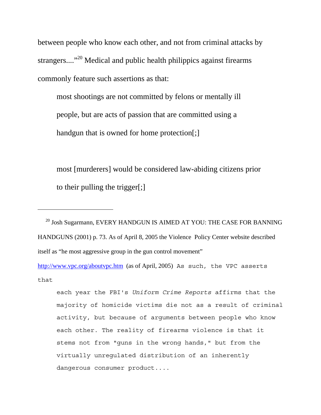between people who know each other, and not from criminal attacks by strangers....<sup>"20</sup> Medical and public health philippics against firearms commonly feature such assertions as that:

most shootings are not committed by felons or mentally ill people, but are acts of passion that are committed using a handgun that is owned for home protection[;]

most [murderers] would be considered law-abiding citizens prior to their pulling the trigger[;]

 $\overline{a}$ 

<span id="page-16-0"></span> $^{20}$  Josh Sugarmann, EVERY HANDGUN IS AIMED AT YOU: THE CASE FOR BANNING HANDGUNS (2001) p. 73. As of April 8, 2005 the Violence Policy Center website described itself as "he most aggressive group in the gun control movement"

<http://www.vpc.org/aboutvpc.htm>(as of April, 2005) As such, the VPC asserts that

each year the FBI's *Uniform Crime Reports* affirms that the majority of homicide victims die not as a result of criminal activity, but because of arguments between people who know each other. The reality of firearms violence is that it stems not from "guns in the wrong hands," but from the virtually unregulated distribution of an inherently dangerous consumer product....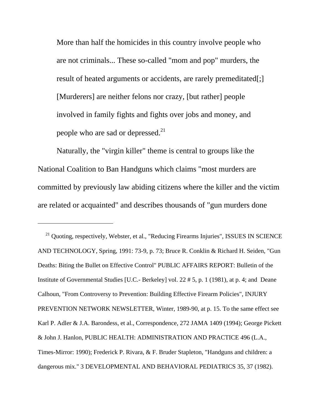More than half the homicides in this country involve people who are not criminals... These so-called "mom and pop" murders, the result of heated arguments or accidents, are rarely premeditated[;] [Murderers] are neither felons nor crazy, [but rather] people involved in family fights and fights over jobs and money, and people who are sad or depressed. $^{21}$  $^{21}$  $^{21}$ 

 Naturally, the "virgin killer" theme is central to groups like the National Coalition to Ban Handguns which claims "most murders are committed by previously law abiding citizens where the killer and the victim are related or acquainted" and describes thousands of "gun murders done

 $\overline{a}$ 

<span id="page-17-0"></span><sup>21</sup> Quoting, respectively, Webster, et al., "Reducing Firearms Injuries", ISSUES IN SCIENCE AND TECHNOLOGY, Spring, 1991: 73-9, p. 73; Bruce R. Conklin & Richard H. Seiden, "Gun Deaths: Biting the Bullet on Effective Control" PUBLIC AFFAIRS REPORT: Bulletin of the Institute of Governmental Studies [U.C.- Berkeley] vol. 22 # 5, p. 1 (1981), at p. 4; and Deane Calhoun, "From Controversy to Prevention: Building Effective Firearm Policies", INJURY PREVENTION NETWORK NEWSLETTER, Winter, 1989-90, at p. 15. To the same effect see Karl P. Adler & J.A. Barondess, et al., Correspondence, 272 JAMA 1409 (1994); George Pickett & John J. Hanlon, PUBLIC HEALTH: ADMINISTRATION AND PRACTICE 496 (L.A., Times-Mirror: 1990); Frederick P. Rivara, & F. Bruder Stapleton, "Handguns and children: a dangerous mix." 3 DEVELOPMENTAL AND BEHAVIORAL PEDIATRICS 35, 37 (1982).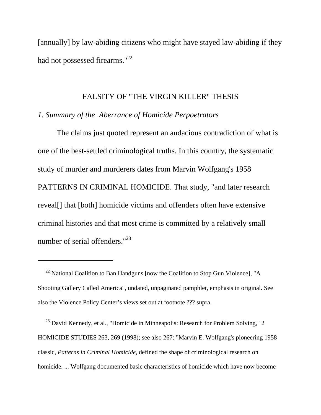[annually] by law-abiding citizens who might have stayed law-abiding if they had not possessed firearms."<sup>22</sup>

### FALSITY OF "THE VIRGIN KILLER" THESIS

#### *1. Summary of the Aberrance of Homicide Perpoetrators*

 $\overline{a}$ 

 The claims just quoted represent an audacious contradiction of what is one of the best-settled criminological truths. In this country, the systematic study of murder and murderers dates from Marvin Wolfgang's 1958 PATTERNS IN CRIMINAL HOMICIDE. That study, "and later research reveal[] that [both] homicide victims and offenders often have extensive criminal histories and that most crime is committed by a relatively small number of serial offenders."<sup>23</sup>

<span id="page-18-1"></span><sup>23</sup> David Kennedy, et al., "Homicide in Minneapolis: Research for Problem Solving," 2 HOMICIDE STUDIES 263, 269 (1998); see also 267: "Marvin E. Wolfgang's pioneering 1958 classic, *Patterns in Criminal Homicide*, defined the shape of criminological research on homicide. ... Wolfgang documented basic characteristics of homicide which have now become

<span id="page-18-0"></span> $22$  National Coalition to Ban Handguns [now the Coalition to Stop Gun Violence], "A Shooting Gallery Called America", undated, unpaginated pamphlet, emphasis in original. See also the Violence Policy Center's views set out at footnote ??? supra.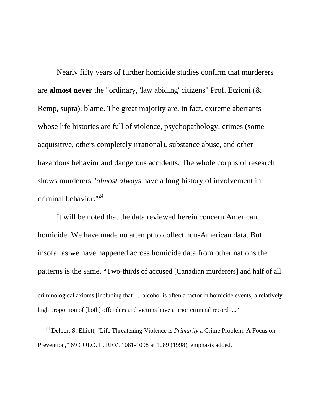Nearly fifty years of further homicide studies confirm that murderers are **almost never** the "ordinary, 'law abiding' citizens" Prof. Etzioni (& Remp, supra), blame. The great majority are, in fact, extreme aberrants whose life histories are full of violence, psychopathology, crimes (some acquisitive, others completely irrational), substance abuse, and other hazardous behavior and dangerous accidents. The whole corpus of research shows murderers "*almost always* have a long history of involvement in criminal behavior.["24](#page-19-0)

 It will be noted that the data reviewed herein concern American homicide. We have made no attempt to collect non-American data. But insofar as we have happened across homicide data from other nations the patterns is the same. "Two-thirds of accused [Canadian murderers] and half of all

criminological axioms [including that] ... alcohol is often a factor in homicide events; a relatively high proportion of [both] offenders and victims have a prior criminal record ...."

 $\overline{a}$ 

<span id="page-19-0"></span> 24 Delbert S. Elliott, "Life Threatening Violence is *Primarily* a Crime Problem: A Focus on Prevention," 69 COLO. L. REV. 1081-1098 at 1089 (1998), emphasis added.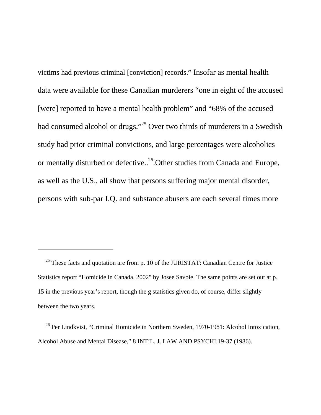victims had previous criminal [conviction] records." Insofar as mental health data were available for these Canadian murderers "one in eight of the accused [were] reported to have a mental health problem" and "68% of the accused had consumed alcohol or drugs."<sup>25</sup> Over two thirds of murderers in a Swedish study had prior criminal convictions, and large percentages were alcoholics or mentally disturbed or defective..<sup>26</sup>.Other studies from Canada and Europe, as well as the U.S., all show that persons suffering major mental disorder, persons with sub-par I.Q. and substance abusers are each several times more

<span id="page-20-0"></span> $25$  These facts and quotation are from p. 10 of the JURISTAT: Canadian Centre for Justice Statistics report "Homicide in Canada, 2002" by Josee Savoie. The same points are set out at p. 15 in the previous year's report, though the g statistics given do, of course, differ slightly between the two years.

<span id="page-20-1"></span>26 Per Lindkvist, "Criminal Homicide in Northern Sweden, 1970-1981: Alcohol Intoxication, Alcohol Abuse and Mental Disease," 8 INT'L. J. LAW AND PSYCHI.19-37 (1986).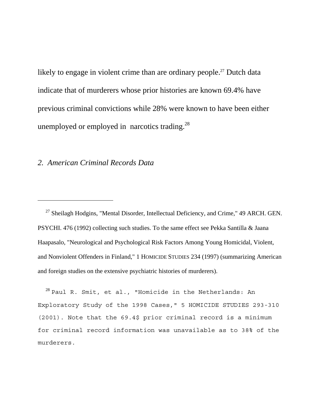likely to engage in violent crime than are ordinary people.<sup>27</sup> Dutch data indicate that of murderers whose prior histories are known 69.4% have previous criminal convictions while 28% were known to have been either unemployed or employed in narcotics trading. $^{28}$ 

#### *2. American Criminal Records Data*

 $\overline{a}$ 

<span id="page-21-0"></span><sup>27</sup> Sheilagh Hodgins, "Mental Disorder, Intellectual Deficiency, and Crime," 49 ARCH. GEN. PSYCHI. 476 (1992) collecting such studies. To the same effect see Pekka Santilla & Jaana Haapasalo, "Neurological and Psychological Risk Factors Among Young Homicidal, Violent, and Nonviolent Offenders in Finland," 1 HOMICIDE STUDIES 234 (1997) (summarizing American and foreign studies on the extensive psychiatric histories of murderers).

<span id="page-21-1"></span> $^{28}$  Paul R. Smit, et al., "Homicide in the Netherlands: An Exploratory Study of the 1998 Cases," 5 HOMICIDE STUDIES 293-310 (2001). Note that the 69.4\$ prior criminal record is a minimum for criminal record information was unavailable as to 38% of the murderers.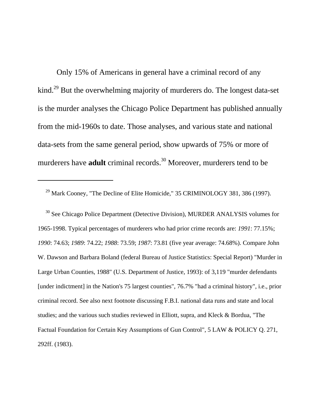Only 15% of Americans in general have a criminal record of any kind.<sup>29</sup> But the overwhelming majority of murderers do. The longest data-set is the murder analyses the Chicago Police Department has published annually from the mid-1960s to date. Those analyses, and various state and national data-sets from the same general period, show upwards of 75% or more of murderers have **adult** criminal records.<sup>30</sup> Moreover, murderers tend to be

 $\overline{a}$ 

<span id="page-22-1"></span><sup>30</sup> See Chicago Police Department (Detective Division), MURDER ANALYSIS volumes for 1965-1998. Typical percentages of murderers who had prior crime records are: *1991*: 77.15%; *1990*: 74.63; *1989*: 74.22; *1988*: 73.59; *1987*: 73.81 (five year average: 74.68%). Compare John W. Dawson and Barbara Boland (federal Bureau of Justice Statistics: Special Report) "Murder in Large Urban Counties, 1988" (U.S. Department of Justice, 1993): of 3,119 "murder defendants [under indictment] in the Nation's 75 largest counties", 76.7% "had a criminal history", i.e., prior criminal record. See also next footnote discussing F.B.I. national data runs and state and local studies; and the various such studies reviewed in Elliott, supra, and Kleck & Bordua, "The Factual Foundation for Certain Key Assumptions of Gun Control", 5 LAW & POLICY Q. 271, 292ff. (1983).

<span id="page-22-0"></span><sup>&</sup>lt;sup>29</sup> Mark Cooney, "The Decline of Elite Homicide," 35 CRIMINOLOGY 381, 386 (1997).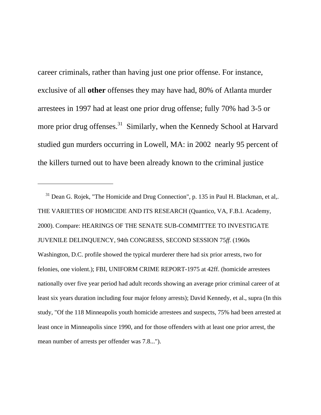career criminals, rather than having just one prior offense. For instance, exclusive of all **other** offenses they may have had, 80% of Atlanta murder arrestees in 1997 had at least one prior drug offense; fully 70% had 3-5 or more prior drug offenses.<sup>31</sup> Similarly, when the Kennedy School at Harvard studied gun murders occurring in Lowell, MA: in 2002 nearly 95 percent of the killers turned out to have been already known to the criminal justice

 $\overline{a}$ 

<span id="page-23-0"></span> $31$  Dean G. Rojek, "The Homicide and Drug Connection", p. 135 in Paul H. Blackman, et al,. THE VARIETIES OF HOMICIDE AND ITS RESEARCH (Quantico, VA, F.B.I. Academy, 2000). Compare: HEARINGS OF THE SENATE SUB-COMMITTEE TO INVESTIGATE JUVENILE DELINQUENCY, 94th CONGRESS, SECOND SESSION 75*ff.* (1960s Washington, D.C. profile showed the typical murderer there had six prior arrests, two for felonies, one violent.); FBI, UNIFORM CRIME REPORT-1975 at 42ff. (homicide arrestees nationally over five year period had adult records showing an average prior criminal career of at least six years duration including four major felony arrests); David Kennedy, et al., supra (In this study, "Of the 118 Minneapolis youth homicide arrestees and suspects, 75% had been arrested at least once in Minneapolis since 1990, and for those offenders with at least one prior arrest, the mean number of arrests per offender was 7.8...").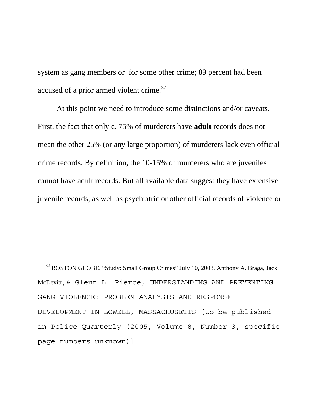system as gang members or for some other crime; 89 percent had been accused of a prior armed violent crime.<sup>32</sup>

 At this point we need to introduce some distinctions and/or caveats. First, the fact that only c. 75% of murderers have **adult** records does not mean the other 25% (or any large proportion) of murderers lack even official crime records. By definition, the 10-15% of murderers who are juveniles cannot have adult records. But all available data suggest they have extensive juvenile records, as well as psychiatric or other official records of violence or

<span id="page-24-0"></span><sup>&</sup>lt;sup>32</sup> BOSTON GLOBE, "Study: Small Group Crimes" July 10, 2003. Anthony A. Braga, Jack McDevitt,& Glenn L. Pierce, UNDERSTANDING AND PREVENTING GANG VIOLENCE: PROBLEM ANALYSIS AND RESPONSE DEVELOPMENT IN LOWELL, MASSACHUSETTS [to be published in Police Quarterly (2005, Volume 8, Number 3, specific page numbers unknown)]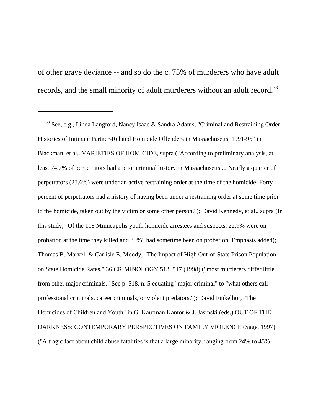of other grave deviance -- and so do the c. 75% of murderers who have adult records, and the small minority of adult murderers without an adult record.<sup>33</sup>

<span id="page-25-0"></span>33 See, e.g., Linda Langford, Nancy Isaac & Sandra Adams, "Criminal and Restraining Order Histories of Intimate Partner-Related Homicide Offenders in Massachusetts, 1991-95" in Blackman, et al,. VARIETIES OF HOMICIDE, supra ("According to preliminary analysis, at least 74.7% of perpetrators had a prior criminal history in Massachusetts.... Nearly a quarter of perpetrators (23.6%) were under an active restraining order at the time of the homicide. Forty percent of perpetrators had a history of having been under a restraining order at some time prior to the homicide, taken out by the victim or some other person."); David Kennedy, et al., supra (In this study, "Of the 118 Minneapolis youth homicide arrestees and suspects, 22.9% were on probation at the time they killed and 39%" had sometime been on probation. Emphasis added); Thomas B. Marvell & Carlisle E. Moody, "The Impact of High Out-of-State Prison Population on State Homicide Rates," 36 CRIMINOLOGY 513, 517 (1998) ("most murderers differ little from other major criminals." See p. 518, n. 5 equating "major criminal" to "what others call professional criminals, career criminals, or violent predators."); David Finkelhor, "The Homicides of Children and Youth" in G. Kaufman Kantor & J. Jasinski (eds.) OUT OF THE DARKNESS: CONTEMPORARY PERSPECTIVES ON FAMILY VIOLENCE (Sage, 1997) ("A tragic fact about child abuse fatalities is that a large minority, ranging from 24% to 45%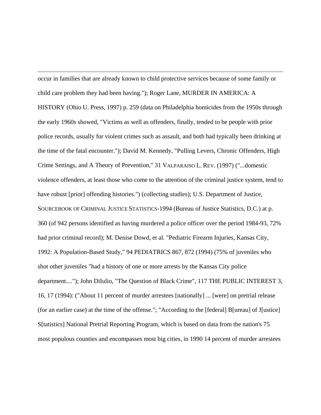$\overline{a}$ occur in families that are already known to child protective services because of some family or child care problem they had been having."); Roger Lane, MURDER IN AMERICA: A HISTORY (Ohio U. Press, 1997) p. 259 (data on Philadelphia homicides from the 1950s through the early 1960s showed, "Victims as well as offenders, finally, tended to be people with prior police records, usually for violent crimes such as assault, and both had typically been drinking at the time of the fatal encounter."); David M. Kennedy, "Pulling Levers, Chronic Offenders, High Crime Settings, and A Theory of Prevention," 31 VALPARAISO L. REV. (1997) ("...domestic violence offenders, at least those who come to the attention of the criminal justice system, tend to have robust [prior] offending histories.") (collecting studies); U.S. Department of Justice, SOURCEBOOK OF CRIMINAL JUSTICE STATISTICS-1994 (Bureau of Justice Statistics, D.C.) at p. 360 (of 942 persons identified as having murdered a police officer over the period 1984-93, 72% had prior criminal record); M. Denise Dowd, et al. "Pediatric Firearm Injuries, Kansas City, 1992: A Population-Based Study," 94 PEDIATRICS 867, 872 (1994) (75% of juveniles who shot other juveniles "had a history of one or more arrests by the Kansas City police department...."); John DiIulio, "The Question of Black Crime", 117 THE PUBLIC INTEREST 3, 16, 17 (1994): ("About 11 percent of murder arrestees [nationally] ... [were] on pretrial release (for an earlier case) at the time of the offense."; "According to the [federal] B[ureau] of J[ustice] S[tatistics] National Pretrial Reporting Program, which is based on data from the nation's 75 most populous counties and encompasses most big cities, in 1990 14 percent of murder arrestees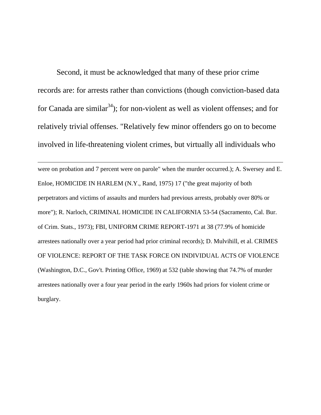Second, it must be acknowledged that many of these prior crime records are: for arrests rather than convictions (though conviction-based data for Canada are similar<sup>34</sup>); for non-violent as well as violent offenses; and for relatively trivial offenses. "Relatively few minor offenders go on to become involved in life-threatening violent crimes, but virtually all individuals who

 $\overline{a}$ 

<span id="page-27-0"></span>were on probation and 7 percent were on parole" when the murder occurred.); A. Swersey and E. Enloe, HOMICIDE IN HARLEM (N.Y., Rand, 1975) 17 ("the great majority of both perpetrators and victims of assaults and murders had previous arrests, probably over 80% or more"); R. Narloch, CRIMINAL HOMICIDE IN CALIFORNIA 53-54 (Sacramento, Cal. Bur. of Crim. Stats., 1973); FBI, UNIFORM CRIME REPORT-1971 at 38 (77.9% of homicide arrestees nationally over a year period had prior criminal records); D. Mulvihill, et al. CRIMES OF VIOLENCE: REPORT OF THE TASK FORCE ON INDIVIDUAL ACTS OF VIOLENCE (Washington, D.C., Gov't. Printing Office, 1969) at 532 (table showing that 74.7% of murder arrestees nationally over a four year period in the early 1960s had priors for violent crime or burglary.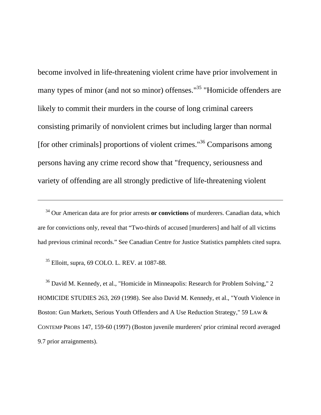become involved in life-threatening violent crime have prior involvement in many types of minor (and not so minor) offenses."<sup>35</sup> "Homicide offenders are likely to commit their murders in the course of long criminal careers consisting primarily of nonviolent crimes but including larger than normal [for other criminals] proportions of violent crimes."<sup>36</sup> Comparisons among persons having any crime record show that "frequency, seriousness and variety of offending are all strongly predictive of life-threatening violent

 34 Our American data are for prior arrests **or convictions** of murderers. Canadian data, which are for convictions only, reveal that "Two-thirds of accused [murderers] and half of all victims had previous criminal records." See Canadian Centre for Justice Statistics pamphlets cited supra.

<span id="page-28-0"></span>35 Elloitt, supra, 69 COLO. L. REV. at 1087-88.

 $\overline{a}$ 

<span id="page-28-1"></span><sup>36</sup> David M. Kennedy, et al., "Homicide in Minneapolis: Research for Problem Solving," 2 HOMICIDE STUDIES 263, 269 (1998). See also David M. Kennedy, et al., "Youth Violence in Boston: Gun Markets, Serious Youth Offenders and A Use Reduction Strategy," 59 LAW & CONTEMP PROBS 147, 159-60 (1997) (Boston juvenile murderers' prior criminal record averaged 9.7 prior arraignments).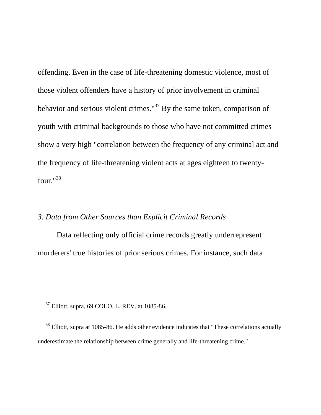offending. Even in the case of life-threatening domestic violence, most of those violent offenders have a history of prior involvement in criminal behavior and serious violent crimes." $37$  By the same token, comparison of youth with criminal backgrounds to those who have not committed crimes show a very high "correlation between the frequency of any criminal act and the frequency of life-threatening violent acts at ages eighteen to twentyfour."[38](#page-29-1)

# *3. Data from Other Sources than Explicit Criminal Records*

 Data reflecting only official crime records greatly underrepresent murderers' true histories of prior serious crimes. For instance, such data

<span id="page-29-0"></span>37 Elliott, supra, 69 COLO. L. REV. at 1085-86.

 $\overline{a}$ 

<span id="page-29-1"></span><sup>38</sup> Elliott, supra at 1085-86. He adds other evidence indicates that "These correlations actually underestimate the relationship between crime generally and life-threatening crime."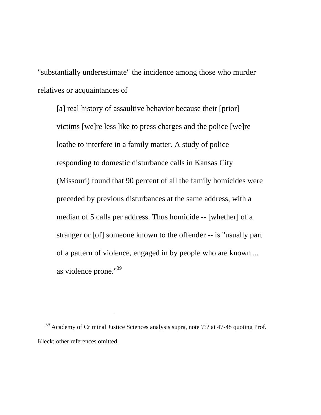"substantially underestimate" the incidence among those who murder relatives or acquaintances of

[a] real history of assaultive behavior because their [prior] victims [we]re less like to press charges and the police [we]re loathe to interfere in a family matter. A study of police responding to domestic disturbance calls in Kansas City (Missouri) found that 90 percent of all the family homicides were preceded by previous disturbances at the same address, with a median of 5 calls per address. Thus homicide -- [whether] of a stranger or [of] someone known to the offender -- is "usually part of a pattern of violence, engaged in by people who are known ... as violence prone."[39](#page-30-0)

<span id="page-30-0"></span><sup>&</sup>lt;sup>39</sup> Academy of Criminal Justice Sciences analysis supra, note ??? at 47-48 quoting Prof. Kleck; other references omitted.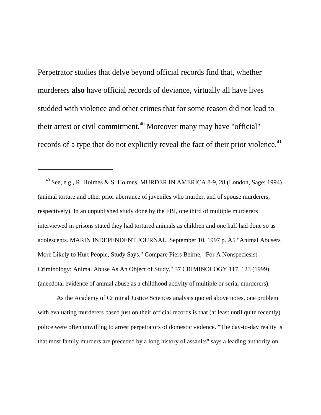Perpetrator studies that delve beyond official records find that, whether murderers **also** have official records of deviance, virtually all have lives studded with violence and other crimes that for some reason did not lead to their arrest or civil commitment.<sup>40</sup> Moreover many may have "official" records of a type that do not explicitly reveal the fact of their prior violence.<sup>41</sup>

 $\overline{a}$ 

<span id="page-31-0"></span><sup>40</sup> See, e.g., R. Holmes & S. Holmes, MURDER IN AMERICA 8-9, 28 (London, Sage: 1994) (animal torture and other prior aberrance of juveniles who murder, and of spouse murderers, respectively). In an unpublished study done by the FBI, one third of multiple murderers interviewed in prisons stated they had tortured animals as children and one half had done so as adolescents. MARIN INDEPENDENT JOURNAL, September 10, 1997 p. A5 "Animal Abusers More Likely to Hurt People, Study Says." Compare Piers Beirne, "For A Nonspeciesist Criminology: Animal Abuse As An Object of Study," 37 CRIMINOLOGY 117, 123 (1999) (anecdotal evidence of animal abuse as a childhood activity of multiple or serial murderers).

<span id="page-31-1"></span> As the Academy of Criminal Justice Sciences analysis quoted above notes, one problem with evaluating murderers based just on their official records is that (at least until quite recently) police were often unwilling to arrest perpetrators of domestic violence. "The day-to-day reality is that most family murders are preceded by a long history of assaults" says a leading authority on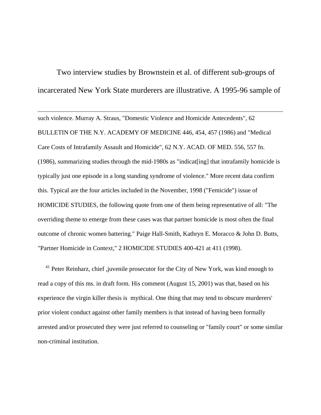Two interview studies by Brownstein et al. of different sub-groups of incarcerated New York State murderers are illustrative. A 1995-96 sample of

 $\overline{a}$ 

such violence. Murray A. Straus, "Domestic Violence and Homicide Antecedents", 62 BULLETIN OF THE N.Y. ACADEMY OF MEDICINE 446, 454, 457 (1986) and "Medical Care Costs of Intrafamily Assault and Homicide", 62 N.Y. ACAD. OF MED. 556, 557 fn. (1986), summarizing studies through the mid-1980s as "indicat[ing] that intrafamily homicide is typically just one episode in a long standing syndrome of violence." More recent data confirm this. Typical are the four articles included in the November, 1998 ("Femicide") issue of HOMICIDE STUDIES, the following quote from one of them being representative of all: "The overriding theme to emerge from these cases was that partner homicide is most often the final outcome of chronic women battering." Paige Hall-Smith, Kathryn E. Moracco & John D. Butts, "Partner Homicide in Context," 2 HOMICIDE STUDIES 400-421 at 411 (1998).

<sup>41</sup> Peter Reinharz, chief ,juvenile prosecutor for the City of New York, was kind enough to read a copy of this ms. in draft form. His comment (August 15, 2001) was that, based on his experience the virgin killer thesis is mythical. One thing that may tend to obscure murderers' prior violent conduct against other family members is that instead of having been formally arrested and/or prosecuted they were just referred to counseling or "family court" or some similar non-criminal institution.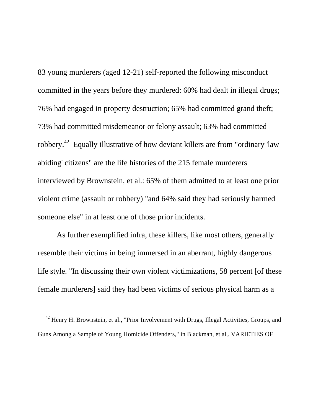83 young murderers (aged 12-21) self-reported the following misconduct committed in the years before they murdered: 60% had dealt in illegal drugs; 76% had engaged in property destruction; 65% had committed grand theft; 73% had committed misdemeanor or felony assault; 63% had committed robbery.[42](#page-33-0) Equally illustrative of how deviant killers are from "ordinary 'law abiding' citizens" are the life histories of the 215 female murderers interviewed by Brownstein, et al.: 65% of them admitted to at least one prior violent crime (assault or robbery) "and 64% said they had seriously harmed someone else" in at least one of those prior incidents.

 As further exemplified infra, these killers, like most others, generally resemble their victims in being immersed in an aberrant, highly dangerous life style. "In discussing their own violent victimizations, 58 percent [of these female murderers] said they had been victims of serious physical harm as a

<span id="page-33-0"></span><sup>&</sup>lt;sup>42</sup> Henry H. Brownstein, et al., "Prior Involvement with Drugs, Illegal Activities, Groups, and Guns Among a Sample of Young Homicide Offenders," in Blackman, et al,. VARIETIES OF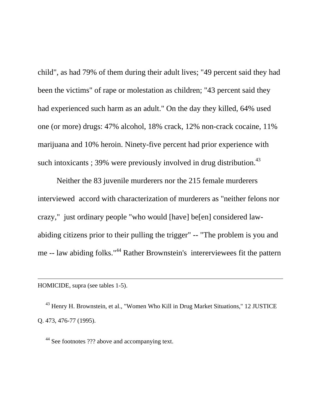child", as had 79% of them during their adult lives; "49 percent said they had been the victims" of rape or molestation as children; "43 percent said they had experienced such harm as an adult." On the day they killed, 64% used one (or more) drugs: 47% alcohol, 18% crack, 12% non-crack cocaine, 11% marijuana and 10% heroin. Ninety-five percent had prior experience with such intoxicants ;  $39\%$  were previously involved in drug distribution.<sup>[43](#page-34-0)</sup>

 Neither the 83 juvenile murderers nor the 215 female murderers interviewed accord with characterization of murderers as "neither felons nor crazy," just ordinary people "who would [have] be[en] considered lawabiding citizens prior to their pulling the trigger" -- "The problem is you and me -- law abiding folks."<sup>44</sup> Rather Brownstein's intererviewees fit the pattern

HOMICIDE, supra (see tables 1-5).

 $\overline{a}$ 

<span id="page-34-0"></span> 43 Henry H. Brownstein, et al., "Women Who Kill in Drug Market Situations," 12 JUSTICE Q. 473, 476-77 (1995).

<span id="page-34-1"></span><sup>44</sup> See footnotes ??? above and accompanying text.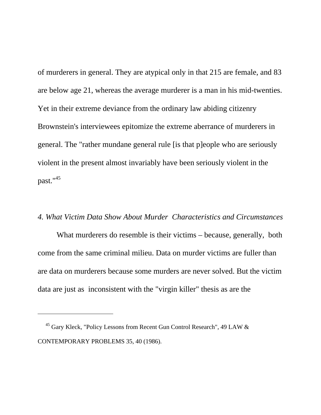of murderers in general. They are atypical only in that 215 are female, and 83 are below age 21, whereas the average murderer is a man in his mid-twenties. Yet in their extreme deviance from the ordinary law abiding citizenry Brownstein's interviewees epitomize the extreme aberrance of murderers in general. The "rather mundane general rule [is that p]eople who are seriously violent in the present almost invariably have been seriously violent in the past.["45](#page-35-0)

### *4. What Victim Data Show About Murder Characteristics and Circumstances*

What murderers do resemble is their victims – because, generally, both come from the same criminal milieu. Data on murder victims are fuller than are data on murderers because some murders are never solved. But the victim data are just as inconsistent with the "virgin killer" thesis as are the

<span id="page-35-0"></span>45 Gary Kleck, "Policy Lessons from Recent Gun Control Research", 49 LAW & CONTEMPORARY PROBLEMS 35, 40 (1986).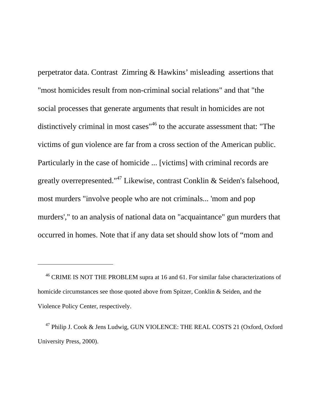perpetrator data. Contrast Zimring & Hawkins' misleading assertions that "most homicides result from non-criminal social relations" and that "the social processes that generate arguments that result in homicides are not distinctively criminal in most cases<sup>"46</sup> to the accurate assessment that: "The victims of gun violence are far from a cross section of the American public. Particularly in the case of homicide ... [victims] with criminal records are greatly overrepresented.["47](#page-36-1) Likewise, contrast Conklin & Seiden's falsehood, most murders "involve people who are not criminals... 'mom and pop murders'," to an analysis of national data on "acquaintance" gun murders that occurred in homes. Note that if any data set should show lots of "mom and

<span id="page-36-0"></span>46 CRIME IS NOT THE PROBLEM supra at 16 and 61. For similar false characterizations of homicide circumstances see those quoted above from Spitzer, Conklin & Seiden, and the Violence Policy Center, respectively.

<span id="page-36-1"></span>47 Philip J. Cook & Jens Ludwig, GUN VIOLENCE: THE REAL COSTS 21 (Oxford, Oxford University Press, 2000).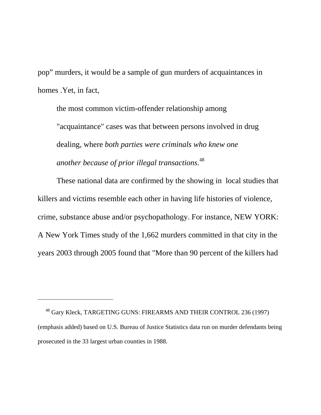pop" murders, it would be a sample of gun murders of acquaintances in homes .Yet, in fact,

the most common victim-offender relationship among "acquaintance" cases was that between persons involved in drug dealing, where *both parties were criminals who knew one another because of prior illegal transactions*. [48](#page-37-0) 

 These national data are confirmed by the showing in local studies that killers and victims resemble each other in having life histories of violence, crime, substance abuse and/or psychopathology. For instance, NEW YORK: A New York Times study of the 1,662 murders committed in that city in the years 2003 through 2005 found that "More than 90 percent of the killers had

<span id="page-37-0"></span>48 Gary Kleck, TARGETING GUNS: FIREARMS AND THEIR CONTROL 236 (1997) (emphasis added) based on U.S. Bureau of Justice Statistics data run on murder defendants being prosecuted in the 33 largest urban counties in 1988.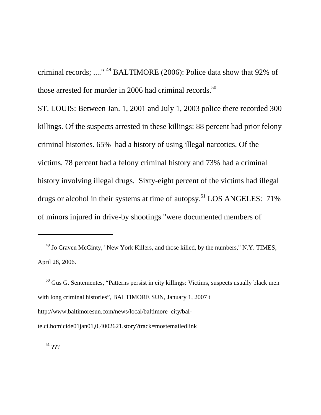criminal records; ...." [49](#page-38-0) BALTIMORE (2006): Police data show that 92% of those arrested for murder in 2006 had criminal records.<sup>50</sup>

ST. LOUIS: Between Jan. 1, 2001 and July 1, 2003 police there recorded 300 killings. Of the suspects arrested in these killings: 88 percent had prior felony criminal histories. 65% had a history of using illegal narcotics. Of the victims, 78 percent had a felony criminal history and 73% had a criminal history involving illegal drugs. Sixty-eight percent of the victims had illegal drugs or alcohol in their systems at time of autopsy.<sup>51</sup> LOS ANGELES:  $71\%$ of minors injured in drive-by shootings "were documented members of

<span id="page-38-0"></span>49 Jo Craven McGinty, "New York Killers, and those killed, by the numbers," N.Y. TIMES, April 28, 2006.

<span id="page-38-1"></span><sup>&</sup>lt;sup>50</sup> Gus G. Sentementes, "Patterns persist in city killings: Victims, suspects usually black men with long criminal histories", BALTIMORE SUN, January 1, 2007 t http://www.baltimoresun.com/news/local/baltimore\_city/bal-

te.ci.homicide01jan01,0,4002621.story?track=mostemailedlink

<span id="page-38-2"></span> $51$  ???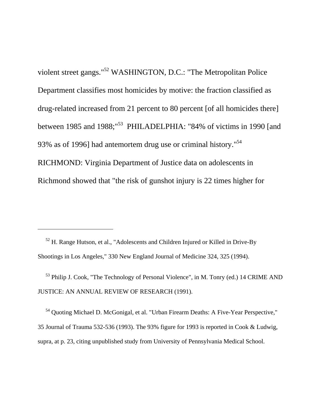violent street gangs."[52](#page-39-0) WASHINGTON, D.C.: "The Metropolitan Police Department classifies most homicides by motive: the fraction classified as drug-related increased from 21 percent to 80 percent [of all homicides there] between 1985 and 1988;<sup>"53</sup> PHILADELPHIA: "84% of victims in 1990 [and 93% as of 1996] had antemortem drug use or criminal history."<sup>54</sup> RICHMOND: Virginia Department of Justice data on adolescents in Richmond showed that "the risk of gunshot injury is 22 times higher for

<span id="page-39-0"></span> 52 H. Range Hutson, et al., "Adolescents and Children Injured or Killed in Drive-By Shootings in Los Angeles," 330 New England Journal of Medicine 324, 325 (1994).

 $\overline{a}$ 

<span id="page-39-1"></span> 53 Philip J. Cook, "The Technology of Personal Violence", in M. Tonry (ed.) 14 CRIME AND JUSTICE: AN ANNUAL REVIEW OF RESEARCH (1991).

<span id="page-39-2"></span> 54 Quoting Michael D. McGonigal, et al. "Urban Firearm Deaths: A Five-Year Perspective," 35 Journal of Trauma 532-536 (1993). The 93% figure for 1993 is reported in Cook & Ludwig, supra, at p. 23, citing unpublished study from University of Pennsylvania Medical School.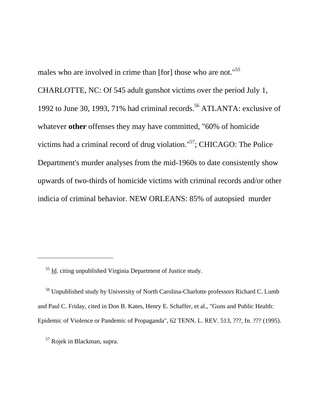males who are involved in crime than [for] those who are not."<sup>55</sup>

CHARLOTTE, NC: Of 545 adult gunshot victims over the period July 1, 1992 to June 30, 1993, 71% had criminal records.<sup>56</sup> ATLANTA: exclusive of whatever **other** offenses they may have committed, "60% of homicide victims had a criminal record of drug violation.["57;](#page-40-2) CHICAGO: The Police Department's murder analyses from the mid-1960s to date consistently show upwards of two-thirds of homicide victims with criminal records and/or other indicia of criminal behavior. NEW ORLEANS: 85% of autopsied murder

<span id="page-40-1"></span> 56 Unpublished study by University of North Carolina-Charlotte professors Richard C. Lumb and Paul C. Friday, cited in Don B. Kates, Henry E. Schaffer, et al., "Guns and Public Health: Epidemic of Violence or Pandemic of Propaganda", 62 TENN. L. REV. 513, ???, fn. ??? (1995).

<span id="page-40-2"></span>57 Rojek in Blackman, supra.

<span id="page-40-0"></span><sup>&</sup>lt;sup>55</sup> Id. citing unpublished Virginia Department of Justice study.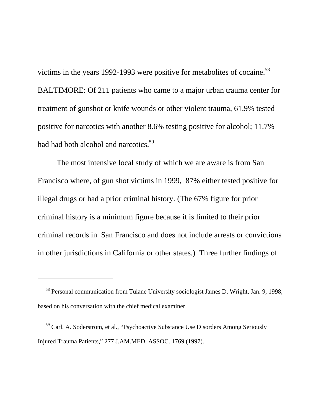victims in the years 1992-1993 were positive for metabolites of cocaine.<sup>58</sup> BALTIMORE: Of 211 patients who came to a major urban trauma center for treatment of gunshot or knife wounds or other violent trauma, 61.9% tested positive for narcotics with another 8.6% testing positive for alcohol; 11.7% had had both alcohol and narcotics.<sup>59</sup>

 The most intensive local study of which we are aware is from San Francisco where, of gun shot victims in 1999, 87% either tested positive for illegal drugs or had a prior criminal history. (The 67% figure for prior criminal history is a minimum figure because it is limited to their prior criminal records in San Francisco and does not include arrests or convictions in other jurisdictions in California or other states.) Three further findings of

<span id="page-41-0"></span>58 Personal communication from Tulane University sociologist James D. Wright, Jan. 9, 1998, based on his conversation with the chief medical examiner.

<span id="page-41-1"></span>59 Carl. A. Soderstrom, et al., "Psychoactive Substance Use Disorders Among Seriously Injured Trauma Patients," 277 J.AM.MED. ASSOC. 1769 (1997).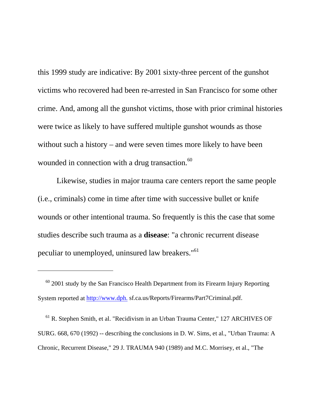this 1999 study are indicative: By 2001 sixty-three percent of the gunshot victims who recovered had been re-arrested in San Francisco for some other crime. And, among all the gunshot victims, those with prior criminal histories were twice as likely to have suffered multiple gunshot wounds as those without such a history – and were seven times more likely to have been wounded in connection with a drug transaction.<sup>60</sup>

 Likewise, studies in major trauma care centers report the same people (i.e., criminals) come in time after time with successive bullet or knife wounds or other intentional trauma. So frequently is this the case that some studies describe such trauma as a **disease**: "a chronic recurrent disease peculiar to unemployed, uninsured law breakers.["61](#page-42-1)

 $\overline{a}$ 

<span id="page-42-1"></span> 61 R. Stephen Smith, et al. "Recidivism in an Urban Trauma Center," 127 ARCHIVES OF SURG. 668, 670 (1992) -- describing the conclusions in D. W. Sims, et al., "Urban Trauma: A Chronic, Recurrent Disease," 29 J. TRAUMA 940 (1989) and M.C. Morrisey, et al., "The

<span id="page-42-0"></span> $60$  2001 study by the San Francisco Health Department from its Firearm Injury Reporting System reported at [http://www.dph.](http://www.dph./) sf.ca.us/Reports/Firearms/Part7Criminal.pdf.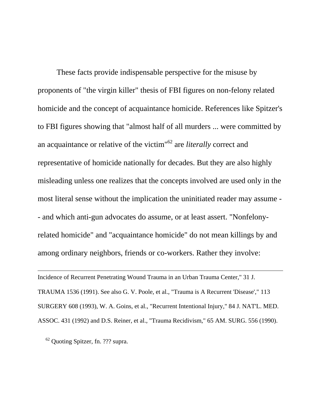These facts provide indispensable perspective for the misuse by proponents of "the virgin killer" thesis of FBI figures on non-felony related homicide and the concept of acquaintance homicide. References like Spitzer's to FBI figures showing that "almost half of all murders ... were committed by an acquaintance or relative of the victim"[62](#page-43-0) are *literally* correct and representative of homicide nationally for decades. But they are also highly misleading unless one realizes that the concepts involved are used only in the most literal sense without the implication the uninitiated reader may assume - - and which anti-gun advocates do assume, or at least assert. "Nonfelonyrelated homicide" and "acquaintance homicide" do not mean killings by and among ordinary neighbors, friends or co-workers. Rather they involve:

Incidence of Recurrent Penetrating Wound Trauma in an Urban Trauma Center," 31 J. TRAUMA 1536 (1991). See also G. V. Poole, et al., "Trauma is A Recurrent 'Disease'," 113 SURGERY 608 (1993), W. A. Goins, et al., "Recurrent Intentional Injury," 84 J. NAT'L. MED. ASSOC. 431 (1992) and D.S. Reiner, et al., "Trauma Recidivism," 65 AM. SURG. 556 (1990).

<span id="page-43-0"></span>62 Quoting Spitzer, fn. ??? supra.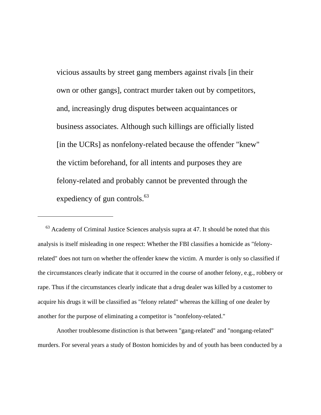vicious assaults by street gang members against rivals [in their own or other gangs], contract murder taken out by competitors, and, increasingly drug disputes between acquaintances or business associates. Although such killings are officially listed [in the UCRs] as nonfelony-related because the offender "knew" the victim beforehand, for all intents and purposes they are felony-related and probably cannot be prevented through the expediency of gun controls.<sup>[63](#page-44-0)</sup>

<span id="page-44-0"></span> $63$  Academy of Criminal Justice Sciences analysis supra at 47. It should be noted that this analysis is itself misleading in one respect: Whether the FBI classifies a homicide as "felonyrelated" does not turn on whether the offender knew the victim. A murder is only so classified if the circumstances clearly indicate that it occurred in the course of another felony, e.g., robbery or rape. Thus if the circumstances clearly indicate that a drug dealer was killed by a customer to acquire his drugs it will be classified as "felony related" whereas the killing of one dealer by another for the purpose of eliminating a competitor is "nonfelony-related."

 $\overline{a}$ 

 Another troublesome distinction is that between "gang-related" and "nongang-related" murders. For several years a study of Boston homicides by and of youth has been conducted by a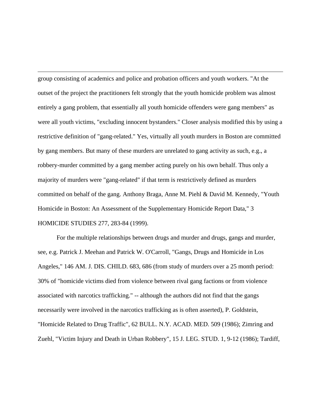$\overline{a}$ group consisting of academics and police and probation officers and youth workers. "At the outset of the project the practitioners felt strongly that the youth homicide problem was almost entirely a gang problem, that essentially all youth homicide offenders were gang members" as were all youth victims, "excluding innocent bystanders." Closer analysis modified this by using a restrictive definition of "gang-related." Yes, virtually all youth murders in Boston are committed by gang members. But many of these murders are unrelated to gang activity as such, e.g., a robbery-murder committed by a gang member acting purely on his own behalf. Thus only a majority of murders were "gang-related" if that term is restrictively defined as murders committed on behalf of the gang. Anthony Braga, Anne M. Piehl & David M. Kennedy, "Youth Homicide in Boston: An Assessment of the Supplementary Homicide Report Data," 3 HOMICIDE STUDIES 277, 283-84 (1999).

 For the multiple relationships between drugs and murder and drugs, gangs and murder, see, e.g. Patrick J. Meehan and Patrick W. O'Carroll, "Gangs, Drugs and Homicide in Los Angeles," 146 AM. J. DIS. CHILD. 683, 686 (from study of murders over a 25 month period: 30% of "homicide victims died from violence between rival gang factions or from violence associated with narcotics trafficking." -- although the authors did not find that the gangs necessarily were involved in the narcotics trafficking as is often asserted), P. Goldstein, "Homicide Related to Drug Traffic", 62 BULL. N.Y. ACAD. MED. 509 (1986); Zimring and Zuehl, "Victim Injury and Death in Urban Robbery", 15 J. LEG. STUD. 1, 9-12 (1986); Tardiff,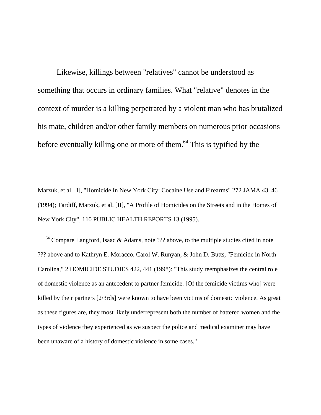Likewise, killings between "relatives" cannot be understood as something that occurs in ordinary families. What "relative" denotes in the context of murder is a killing perpetrated by a violent man who has brutalized his mate, children and/or other family members on numerous prior occasions before eventually killing one or more of them.<sup>64</sup> This is typified by the

Marzuk, et al. [I], "Homicide In New York City: Cocaine Use and Firearms" 272 JAMA 43, 46 (1994); Tardiff, Marzuk, et al. [II], "A Profile of Homicides on the Streets and in the Homes of New York City", 110 PUBLIC HEALTH REPORTS 13 (1995).

 $\overline{a}$ 

<span id="page-46-0"></span> $64$  Compare Langford, Isaac & Adams, note ??? above, to the multiple studies cited in note ??? above and to Kathryn E. Moracco, Carol W. Runyan, & John D. Butts, "Femicide in North Carolina," 2 HOMICIDE STUDIES 422, 441 (1998): "This study reemphasizes the central role of domestic violence as an antecedent to partner femicide. [Of the femicide victims who] were killed by their partners [2/3rds] were known to have been victims of domestic violence. As great as these figures are, they most likely underrepresent both the number of battered women and the types of violence they experienced as we suspect the police and medical examiner may have been unaware of a history of domestic violence in some cases."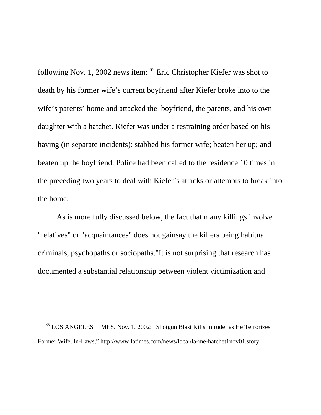following Nov. 1, 2002 news item: [65](#page-47-0) Eric Christopher Kiefer was shot to death by his former wife's current boyfriend after Kiefer broke into to the wife's parents' home and attacked the boyfriend, the parents, and his own daughter with a hatchet. Kiefer was under a restraining order based on his having (in separate incidents): stabbed his former wife; beaten her up; and beaten up the boyfriend. Police had been called to the residence 10 times in the preceding two years to deal with Kiefer's attacks or attempts to break into the home.

 As is more fully discussed below, the fact that many killings involve "relatives" or "acquaintances" does not gainsay the killers being habitual criminals, psychopaths or sociopaths."It is not surprising that research has documented a substantial relationship between violent victimization and

<span id="page-47-0"></span>65 LOS ANGELES TIMES, Nov. 1, 2002: "Shotgun Blast Kills Intruder as He Terrorizes Former Wife, In-Laws," http://www.latimes.com/news/local/la-me-hatchet1nov01.story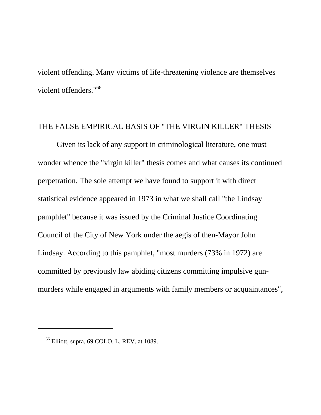violent offending. Many victims of life-threatening violence are themselves violent offenders."[66](#page-48-0)

## THE FALSE EMPIRICAL BASIS OF "THE VIRGIN KILLER" THESIS

 Given its lack of any support in criminological literature, one must wonder whence the "virgin killer" thesis comes and what causes its continued perpetration. The sole attempt we have found to support it with direct statistical evidence appeared in 1973 in what we shall call "the Lindsay pamphlet" because it was issued by the Criminal Justice Coordinating Council of the City of New York under the aegis of then-Mayor John Lindsay. According to this pamphlet, "most murders (73% in 1972) are committed by previously law abiding citizens committing impulsive gunmurders while engaged in arguments with family members or acquaintances",

<span id="page-48-0"></span> $66$  Elliott, supra, 69 COLO. L. REV. at 1089.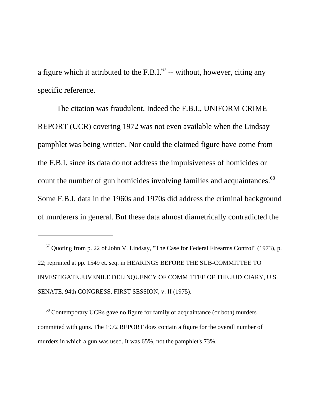a figure which it attributed to the F.B.I. $^{67}$  -- without, however, citing any specific reference.

 The citation was fraudulent. Indeed the F.B.I., UNIFORM CRIME REPORT (UCR) covering 1972 was not even available when the Lindsay pamphlet was being written. Nor could the claimed figure have come from the F.B.I. since its data do not address the impulsiveness of homicides or count the number of gun homicides involving families and acquaintances.<sup>68</sup> Some F.B.I. data in the 1960s and 1970s did address the criminal background of murderers in general. But these data almost diametrically contradicted the

 $\overline{a}$ 

<span id="page-49-1"></span> 68 Contemporary UCRs gave no figure for family or acquaintance (or both) murders committed with guns. The 1972 REPORT does contain a figure for the overall number of murders in which a gun was used. It was 65%, not the pamphlet's 73%.

<span id="page-49-0"></span> $67$  Quoting from p. 22 of John V. Lindsay, "The Case for Federal Firearms Control" (1973), p. 22; reprinted at pp. 1549 et. seq. in HEARINGS BEFORE THE SUB-COMMITTEE TO INVESTIGATE JUVENILE DELINQUENCY OF COMMITTEE OF THE JUDICIARY, U.S. SENATE, 94th CONGRESS, FIRST SESSION, v. II (1975).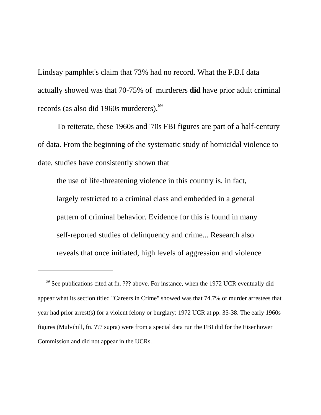Lindsay pamphlet's claim that 73% had no record. What the F.B.I data actually showed was that 70-75% of murderers **did** have prior adult criminal records (as also did 1960s murderers).<sup>[69](#page-50-0)</sup>

 To reiterate, these 1960s and '70s FBI figures are part of a half-century of data. From the beginning of the systematic study of homicidal violence to date, studies have consistently shown that

the use of life-threatening violence in this country is, in fact, largely restricted to a criminal class and embedded in a general pattern of criminal behavior. Evidence for this is found in many self-reported studies of delinquency and crime... Research also reveals that once initiated, high levels of aggression and violence

<span id="page-50-0"></span> $69$  See publications cited at fn. ??? above. For instance, when the 1972 UCR eventually did appear what its section titled "Careers in Crime" showed was that 74.7% of murder arrestees that year had prior arrest(s) for a violent felony or burglary: 1972 UCR at pp. 35-38. The early 1960s figures (Mulvihill, fn. ??? supra) were from a special data run the FBI did for the Eisenhower Commission and did not appear in the UCRs.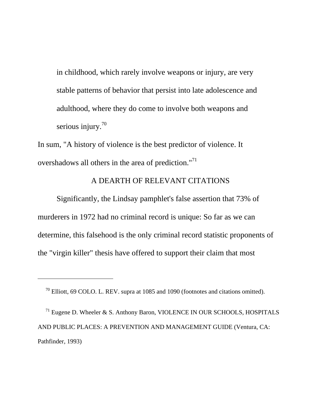in childhood, which rarely involve weapons or injury, are very stable patterns of behavior that persist into late adolescence and adulthood, where they do come to involve both weapons and serious injury.<sup>70</sup>

In sum, "A history of violence is the best predictor of violence. It overshadows all others in the area of prediction."<sup>71</sup>

## A DEARTH OF RELEVANT CITATIONS

 Significantly, the Lindsay pamphlet's false assertion that 73% of murderers in 1972 had no criminal record is unique: So far as we can determine, this falsehood is the only criminal record statistic proponents of the "virgin killer" thesis have offered to support their claim that most

 $\overline{a}$ 

<span id="page-51-1"></span> $71$  Eugene D. Wheeler & S. Anthony Baron, VIOLENCE IN OUR SCHOOLS, HOSPITALS AND PUBLIC PLACES: A PREVENTION AND MANAGEMENT GUIDE (Ventura, CA: Pathfinder, 1993)

<span id="page-51-0"></span>70 Elliott, 69 COLO. L. REV. supra at 1085 and 1090 (footnotes and citations omitted).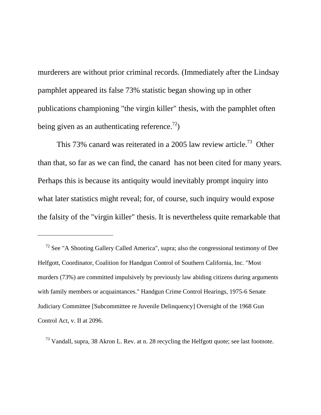murderers are without prior criminal records. (Immediately after the Lindsay pamphlet appeared its false 73% statistic began showing up in other publications championing "the virgin killer" thesis, with the pamphlet often being given as an authenticating reference.<sup>72</sup>)

This 73% canard was reiterated in a 2005 law review article.<sup>73</sup> Other than that, so far as we can find, the canard has not been cited for many years. Perhaps this is because its antiquity would inevitably prompt inquiry into what later statistics might reveal; for, of course, such inquiry would expose the falsity of the "virgin killer" thesis. It is nevertheless quite remarkable that

 $\overline{a}$ 

<span id="page-52-1"></span> $^{73}$  Vandall, supra, 38 Akron L. Rev. at n. 28 recycling the Helfgott quote; see last footnote.

<span id="page-52-0"></span>72 See "A Shooting Gallery Called America", supra; also the congressional testimony of Dee Helfgott, Coordinator, Coalition for Handgun Control of Southern California, Inc. "Most murders (73%) are committed impulsively by previously law abiding citizens during arguments with family members or acquaintances." Handgun Crime Control Hearings, 1975-6 Senate Judiciary Committee [Subcommittee re Juvenile Delinquency] Oversight of the 1968 Gun Control Act, v. II at 2096.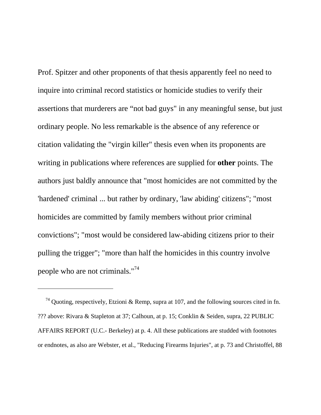Prof. Spitzer and other proponents of that thesis apparently feel no need to inquire into criminal record statistics or homicide studies to verify their assertions that murderers are "not bad guys" in any meaningful sense, but just ordinary people. No less remarkable is the absence of any reference or citation validating the "virgin killer" thesis even when its proponents are writing in publications where references are supplied for **other** points. The authors just baldly announce that "most homicides are not committed by the 'hardened' criminal ... but rather by ordinary, 'law abiding' citizens"; "most homicides are committed by family members without prior criminal convictions"; "most would be considered law-abiding citizens prior to their pulling the trigger"; "more than half the homicides in this country involve people who are not criminals.["74](#page-53-0)

<span id="page-53-0"></span><sup>&</sup>lt;sup>74</sup> Quoting, respectively, Etzioni & Remp, supra at 107, and the following sources cited in fn. ??? above: Rivara & Stapleton at 37; Calhoun, at p. 15; Conklin & Seiden, supra, 22 PUBLIC AFFAIRS REPORT (U.C.- Berkeley) at p. 4. All these publications are studded with footnotes or endnotes, as also are Webster, et al., "Reducing Firearms Injuries", at p. 73 and Christoffel, 88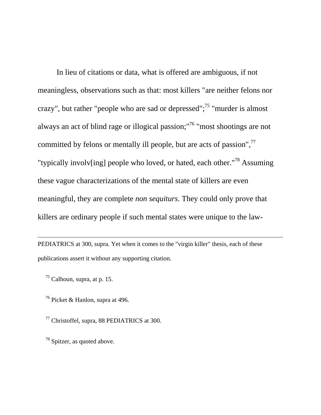In lieu of citations or data, what is offered are ambiguous, if not meaningless, observations such as that: most killers "are neither felons nor crazy", but rather "people who are sad or depressed";<sup>75</sup> "murder is almost always an act of blind rage or illogical passion;["76](#page-54-1) "most shootings are not committed by felons or mentally ill people, but are acts of passion", $^{77}$  $^{77}$  $^{77}$ "typically involv[ing] people who loved, or hated, each other.["78](#page-54-3) Assuming these vague characterizations of the mental state of killers are even meaningful, they are complete *non sequiturs*. They could only prove that killers are ordinary people if such mental states were unique to the law-

PEDIATRICS at 300, supra. Yet when it comes to the "virgin killer" thesis, each of these publications assert it without any supporting citation.

<span id="page-54-0"></span> $75$  Calhoun, supra, at p. 15.

 $\overline{a}$ 

<span id="page-54-1"></span>76 Picket & Hanlon, supra at 496.

<span id="page-54-2"></span>77 Christoffel, supra, 88 PEDIATRICS at 300.

<span id="page-54-3"></span>78 Spitzer, as quoted above.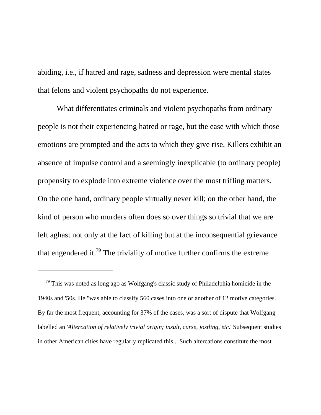abiding, i.e., if hatred and rage, sadness and depression were mental states that felons and violent psychopaths do not experience.

 What differentiates criminals and violent psychopaths from ordinary people is not their experiencing hatred or rage, but the ease with which those emotions are prompted and the acts to which they give rise. Killers exhibit an absence of impulse control and a seemingly inexplicable (to ordinary people) propensity to explode into extreme violence over the most trifling matters. On the one hand, ordinary people virtually never kill; on the other hand, the kind of person who murders often does so over things so trivial that we are left aghast not only at the fact of killing but at the inconsequential grievance that engendered it.<sup>79</sup> The triviality of motive further confirms the extreme

<span id="page-55-0"></span> $79$  This was noted as long ago as Wolfgang's classic study of Philadelphia homicide in the 1940s and '50s. He "was able to classify 560 cases into one or another of 12 motive categories. By far the most frequent, accounting for 37% of the cases, was a sort of dispute that Wolfgang labelled an '*Altercation of relatively trivial origin; insult, curse, jostling, etc*.' Subsequent studies in other American cities have regularly replicated this... Such altercations constitute the most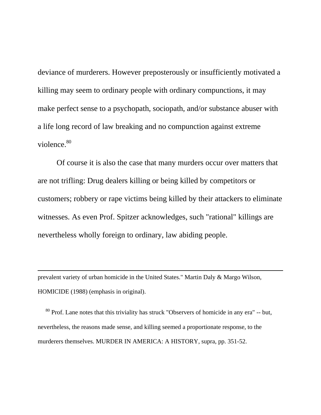deviance of murderers. However preposterously or insufficiently motivated a killing may seem to ordinary people with ordinary compunctions, it may make perfect sense to a psychopath, sociopath, and/or substance abuser with a life long record of law breaking and no compunction against extreme violence.<sup>[80](#page-56-0)</sup>

 Of course it is also the case that many murders occur over matters that are not trifling: Drug dealers killing or being killed by competitors or customers; robbery or rape victims being killed by their attackers to eliminate witnesses. As even Prof. Spitzer acknowledges, such "rational" killings are nevertheless wholly foreign to ordinary, law abiding people.

prevalent variety of urban homicide in the United States." Martin Daly & Margo Wilson, HOMICIDE (1988) (emphasis in original).

 $\overline{a}$ 

<span id="page-56-0"></span> $80$  Prof. Lane notes that this triviality has struck "Observers of homicide in any era" -- but, nevertheless, the reasons made sense, and killing seemed a proportionate response, to the murderers themselves. MURDER IN AMERICA: A HISTORY, supra, pp. 351-52.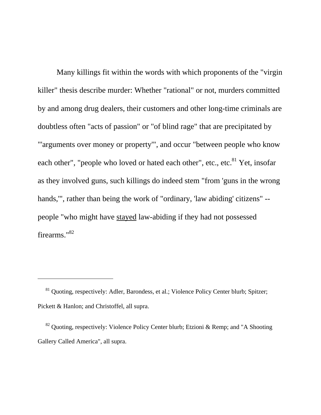Many killings fit within the words with which proponents of the "virgin killer" thesis describe murder: Whether "rational" or not, murders committed by and among drug dealers, their customers and other long-time criminals are doubtless often "acts of passion" or "of blind rage" that are precipitated by "'arguments over money or property'", and occur "between people who know each other", "people who loved or hated each other", etc., etc.<sup>81</sup> Yet, insofar as they involved guns, such killings do indeed stem "from 'guns in the wrong hands,'", rather than being the work of "ordinary, 'law abiding' citizens" - people "who might have stayed law-abiding if they had not possessed firearms."[82](#page-57-1)

<span id="page-57-0"></span><sup>&</sup>lt;sup>81</sup> Quoting, respectively: Adler, Barondess, et al.; Violence Policy Center blurb; Spitzer; Pickett & Hanlon; and Christoffel, all supra.

<span id="page-57-1"></span> $82$  Quoting, respectively: Violence Policy Center blurb; Etzioni & Remp; and "A Shooting Gallery Called America", all supra.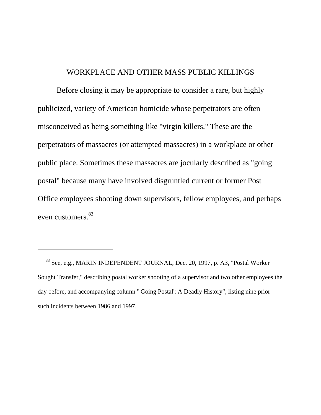## WORKPLACE AND OTHER MASS PUBLIC KILLINGS

 Before closing it may be appropriate to consider a rare, but highly publicized, variety of American homicide whose perpetrators are often misconceived as being something like "virgin killers." These are the perpetrators of massacres (or attempted massacres) in a workplace or other public place. Sometimes these massacres are jocularly described as "going postal" because many have involved disgruntled current or former Post Office employees shooting down supervisors, fellow employees, and perhaps even customers.<sup>[83](#page-58-0)</sup>

<span id="page-58-0"></span>83 See, e.g., MARIN INDEPENDENT JOURNAL, Dec. 20, 1997, p. A3, "Postal Worker Sought Transfer," describing postal worker shooting of a supervisor and two other employees the day before, and accompanying column "'Going Postal': A Deadly History", listing nine prior such incidents between 1986 and 1997.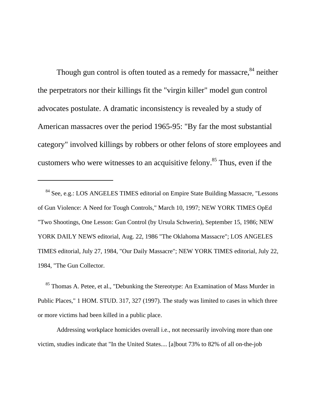Though gun control is often touted as a remedy for massacre,<sup>84</sup> neither the perpetrators nor their killings fit the "virgin killer" model gun control advocates postulate. A dramatic inconsistency is revealed by a study of American massacres over the period 1965-95: "By far the most substantial category" involved killings by robbers or other felons of store employees and customers who were witnesses to an acquisitive felony.<sup>85</sup> Thus, even if the

 $\overline{a}$ 

<span id="page-59-1"></span><sup>85</sup> Thomas A. Petee, et al., "Debunking the Stereotype: An Examination of Mass Murder in Public Places," 1 HOM. STUD. 317, 327 (1997). The study was limited to cases in which three or more victims had been killed in a public place.

 Addressing workplace homicides overall i.e., not necessarily involving more than one victim, studies indicate that "In the United States.... [a]bout 73% to 82% of all on-the-job

<span id="page-59-0"></span>84 See, e.g.: LOS ANGELES TIMES editorial on Empire State Building Massacre, "Lessons of Gun Violence: A Need for Tough Controls," March 10, 1997; NEW YORK TIMES OpEd "Two Shootings, One Lesson: Gun Control (by Ursula Schwerin), September 15, 1986; NEW YORK DAILY NEWS editorial, Aug. 22, 1986 "The Oklahoma Massacre"; LOS ANGELES TIMES editorial, July 27, 1984, "Our Daily Massacre"; NEW YORK TIMES editorial, July 22, 1984, "The Gun Collector.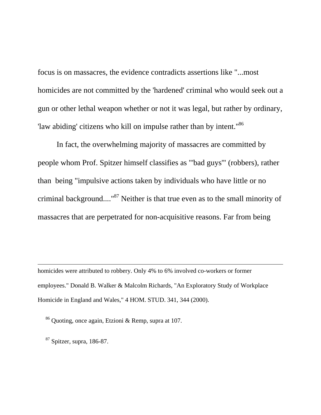focus is on massacres, the evidence contradicts assertions like "...most homicides are not committed by the 'hardened' criminal who would seek out a gun or other lethal weapon whether or not it was legal, but rather by ordinary, 'law abiding' citizens who kill on impulse rather than by intent.["86](#page-60-0)

 In fact, the overwhelming majority of massacres are committed by people whom Prof. Spitzer himself classifies as "'bad guys'" (robbers), rather than being "impulsive actions taken by individuals who have little or no criminal background....["87](#page-60-1) Neither is that true even as to the small minority of massacres that are perpetrated for non-acquisitive reasons. Far from being

homicides were attributed to robbery. Only 4% to 6% involved co-workers or former employees." Donald B. Walker & Malcolm Richards, "An Exploratory Study of Workplace Homicide in England and Wales," 4 HOM. STUD. 341, 344 (2000).

<span id="page-60-0"></span>86 Quoting, once again, Etzioni & Remp, supra at 107.

<span id="page-60-1"></span> $87$  Spitzer, supra, 186-87.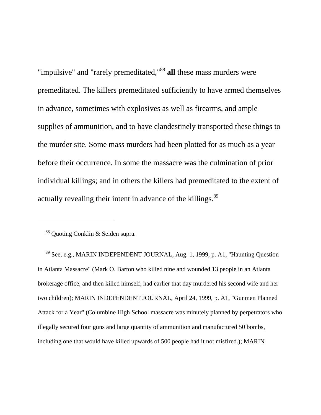"impulsive" and "rarely premeditated,"[88](#page-61-0) **all** these mass murders were premeditated. The killers premeditated sufficiently to have armed themselves in advance, sometimes with explosives as well as firearms, and ample supplies of ammunition, and to have clandestinely transported these things to the murder site. Some mass murders had been plotted for as much as a year before their occurrence. In some the massacre was the culmination of prior individual killings; and in others the killers had premeditated to the extent of actually revealing their intent in advance of the killings.<sup>89</sup>

 $\overline{a}$ 

<span id="page-61-1"></span> 89 See, e.g., MARIN INDEPENDENT JOURNAL, Aug. 1, 1999, p. A1, "Haunting Question in Atlanta Massacre" (Mark O. Barton who killed nine and wounded 13 people in an Atlanta brokerage office, and then killed himself, had earlier that day murdered his second wife and her two children); MARIN INDEPENDENT JOURNAL, April 24, 1999, p. A1, "Gunmen Planned Attack for a Year" (Columbine High School massacre was minutely planned by perpetrators who illegally secured four guns and large quantity of ammunition and manufactured 50 bombs, including one that would have killed upwards of 500 people had it not misfired.); MARIN

<span id="page-61-0"></span>88 Quoting Conklin & Seiden supra.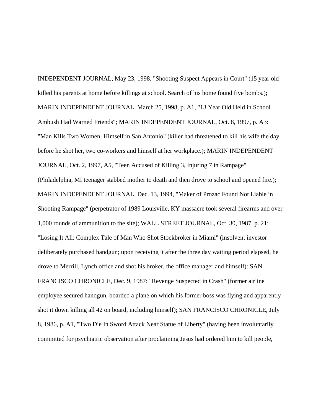INDEPENDENT JOURNAL, May 23, 1998, "Shooting Suspect Appears in Court" (15 year old killed his parents at home before killings at school. Search of his home found five bombs.); MARIN INDEPENDENT JOURNAL, March 25, 1998, p. A1, "13 Year Old Held in School Ambush Had Warned Friends"; MARIN INDEPENDENT JOURNAL, Oct. 8, 1997, p. A3: "Man Kills Two Women, Himself in San Antonio" (killer had threatened to kill his wife the day before he shot her, two co-workers and himself at her workplace.); MARIN INDEPENDENT JOURNAL, Oct. 2, 1997, A5, "Teen Accused of Killing 3, Injuring 7 in Rampage" (Philadelphia, MI teenager stabbed mother to death and then drove to school and opened fire.); MARIN INDEPENDENT JOURNAL, Dec. 13, 1994, "Maker of Prozac Found Not Liable in Shooting Rampage" (perpetrator of 1989 Louisville, KY massacre took several firearms and over 1,000 rounds of ammunition to the site); WALL STREET JOURNAL, Oct. 30, 1987, p. 21: "Losing It All: Complex Tale of Man Who Shot Stockbroker in Miami" (insolvent investor deliberately purchased handgun; upon receiving it after the three day waiting period elapsed, he drove to Merrill, Lynch office and shot his broker, the office manager and himself): SAN FRANCISCO CHRONICLE, Dec. 9, 1987: "Revenge Suspected in Crash" (former airline employee secured handgun, boarded a plane on which his former boss was flying and apparently shot it down killing all 42 on board, including himself); SAN FRANCISCO CHRONICLE, July 8, 1986, p. A1, "Two Die In Sword Attack Near Statue of Liberty" (having been involuntarily committed for psychiatric observation after proclaiming Jesus had ordered him to kill people,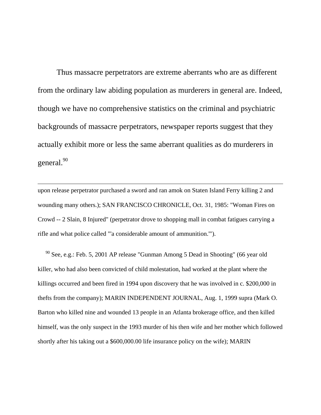Thus massacre perpetrators are extreme aberrants who are as different from the ordinary law abiding population as murderers in general are. Indeed, though we have no comprehensive statistics on the criminal and psychiatric backgrounds of massacre perpetrators, newspaper reports suggest that they actually exhibit more or less the same aberrant qualities as do murderers in general.<sup>[90](#page-63-0)</sup>

upon release perpetrator purchased a sword and ran amok on Staten Island Ferry killing 2 and wounding many others.); SAN FRANCISCO CHRONICLE, Oct. 31, 1985: "Woman Fires on Crowd -- 2 Slain, 8 Injured" (perpetrator drove to shopping mall in combat fatigues carrying a rifle and what police called "'a considerable amount of ammunition.'").

 $\overline{a}$ 

<span id="page-63-0"></span> 90 See, e.g.: Feb. 5, 2001 AP release "Gunman Among 5 Dead in Shooting" (66 year old killer, who had also been convicted of child molestation, had worked at the plant where the killings occurred and been fired in 1994 upon discovery that he was involved in c. \$200,000 in thefts from the company); MARIN INDEPENDENT JOURNAL, Aug. 1, 1999 supra (Mark O. Barton who killed nine and wounded 13 people in an Atlanta brokerage office, and then killed himself, was the only suspect in the 1993 murder of his then wife and her mother which followed shortly after his taking out a \$600,000.00 life insurance policy on the wife); MARIN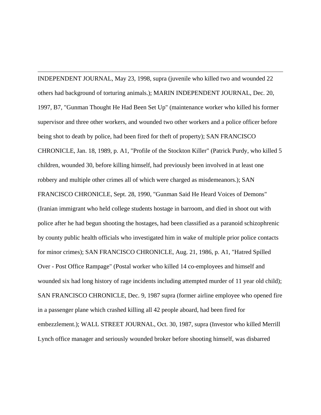$\overline{a}$ INDEPENDENT JOURNAL, May 23, 1998, supra (juvenile who killed two and wounded 22 others had background of torturing animals.); MARIN INDEPENDENT JOURNAL, Dec. 20, 1997, B7, "Gunman Thought He Had Been Set Up" (maintenance worker who killed his former supervisor and three other workers, and wounded two other workers and a police officer before being shot to death by police, had been fired for theft of property); SAN FRANCISCO CHRONICLE, Jan. 18, 1989, p. A1, "Profile of the Stockton Killer" (Patrick Purdy, who killed 5 children, wounded 30, before killing himself, had previously been involved in at least one robbery and multiple other crimes all of which were charged as misdemeanors.); SAN FRANCISCO CHRONICLE, Sept. 28, 1990, "Gunman Said He Heard Voices of Demons" (Iranian immigrant who held college students hostage in barroom, and died in shoot out with police after he had begun shooting the hostages, had been classified as a paranoid schizophrenic by county public health officials who investigated him in wake of multiple prior police contacts for minor crimes); SAN FRANCISCO CHRONICLE, Aug. 21, 1986, p. A1, "Hatred Spilled Over - Post Office Rampage" (Postal worker who killed 14 co-employees and himself and wounded six had long history of rage incidents including attempted murder of 11 year old child); SAN FRANCISCO CHRONICLE, Dec. 9, 1987 supra (former airline employee who opened fire in a passenger plane which crashed killing all 42 people aboard, had been fired for embezzlement.); WALL STREET JOURNAL, Oct. 30, 1987, supra (Investor who killed Merrill Lynch office manager and seriously wounded broker before shooting himself, was disbarred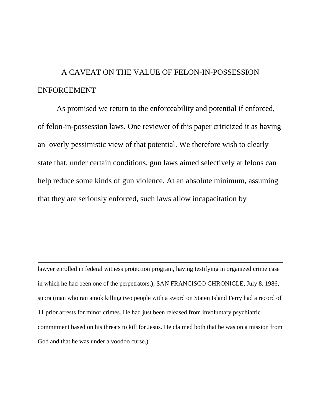## A CAVEAT ON THE VALUE OF FELON-IN-POSSESSION ENFORCEMENT

 As promised we return to the enforceability and potential if enforced, of felon-in-possession laws. One reviewer of this paper criticized it as having an overly pessimistic view of that potential. We therefore wish to clearly state that, under certain conditions, gun laws aimed selectively at felons can help reduce some kinds of gun violence. At an absolute minimum, assuming that they are seriously enforced, such laws allow incapacitation by

lawyer enrolled in federal witness protection program, having testifying in organized crime case in which he had been one of the perpetrators.); SAN FRANCISCO CHRONICLE, July 8, 1986, supra (man who ran amok killing two people with a sword on Staten Island Ferry had a record of 11 prior arrests for minor crimes. He had just been released from involuntary psychiatric commitment based on his threats to kill for Jesus. He claimed both that he was on a mission from God and that he was under a voodoo curse.).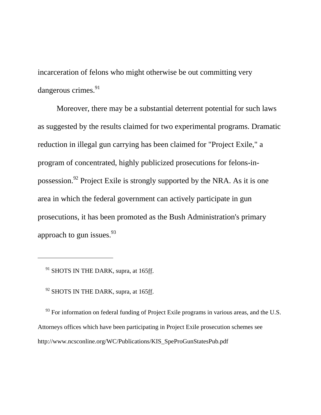incarceration of felons who might otherwise be out committing very dangerous crimes.<sup>91</sup>

 Moreover, there may be a substantial deterrent potential for such laws as suggested by the results claimed for two experimental programs. Dramatic reduction in illegal gun carrying has been claimed for "Project Exile," a program of concentrated, highly publicized prosecutions for felons-inpossession.[92](#page-66-1) Project Exile is strongly supported by the NRA. As it is one area in which the federal government can actively participate in gun prosecutions, it has been promoted as the Bush Administration's primary approach to gun issues.  $93$ 

<span id="page-66-0"></span><sup>91</sup> SHOTS IN THE DARK, supra, at 165ff.

 $\overline{a}$ 

<span id="page-66-1"></span><sup>92</sup> SHOTS IN THE DARK, supra, at 165ff.

<span id="page-66-2"></span> $93$  For information on federal funding of Project Exile programs in various areas, and the U.S. Attorneys offices which have been participating in Project Exile prosecution schemes see http://www.ncsconline.org/WC/Publications/KIS\_SpeProGunStatesPub.pdf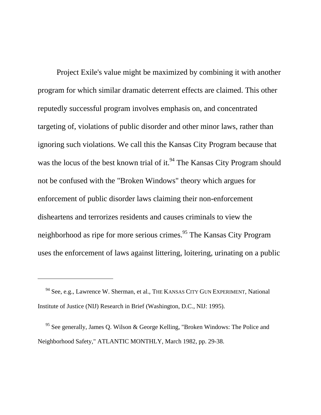Project Exile's value might be maximized by combining it with another program for which similar dramatic deterrent effects are claimed. This other reputedly successful program involves emphasis on, and concentrated targeting of, violations of public disorder and other minor laws, rather than ignoring such violations. We call this the Kansas City Program because that was the locus of the best known trial of it.<sup>94</sup> The Kansas City Program should not be confused with the "Broken Windows" theory which argues for enforcement of public disorder laws claiming their non-enforcement disheartens and terrorizes residents and causes criminals to view the neighborhood as ripe for more serious crimes.<sup>95</sup> The Kansas City Program uses the enforcement of laws against littering, loitering, urinating on a public

<span id="page-67-0"></span>94 See, e.g., Lawrence W. Sherman, et al., THE KANSAS CITY GUN EXPERIMENT, National Institute of Justice (NIJ) Research in Brief (Washington, D.C., NIJ: 1995).

<span id="page-67-1"></span>95 See generally, James Q. Wilson & George Kelling, "Broken Windows: The Police and Neighborhood Safety," ATLANTIC MONTHLY, March 1982, pp. 29-38.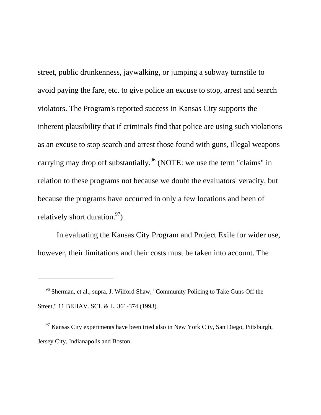street, public drunkenness, jaywalking, or jumping a subway turnstile to avoid paying the fare, etc. to give police an excuse to stop, arrest and search violators. The Program's reported success in Kansas City supports the inherent plausibility that if criminals find that police are using such violations as an excuse to stop search and arrest those found with guns, illegal weapons carrying may drop off substantially.<sup>96</sup> (NOTE: we use the term "claims" in relation to these programs not because we doubt the evaluators' veracity, but because the programs have occurred in only a few locations and been of relatively short duration.  $97$ 

 In evaluating the Kansas City Program and Project Exile for wider use, however, their limitations and their costs must be taken into account. The

<span id="page-68-0"></span>96 Sherman, et al., supra, J. Wilford Shaw, "Community Policing to Take Guns Off the Street," 11 BEHAV. SCI. & L. 361-374 (1993).

<span id="page-68-1"></span> $97$  Kansas City experiments have been tried also in New York City, San Diego, Pittsburgh, Jersey City, Indianapolis and Boston.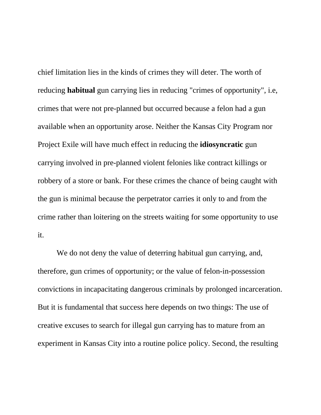chief limitation lies in the kinds of crimes they will deter. The worth of reducing **habitual** gun carrying lies in reducing "crimes of opportunity", i.e, crimes that were not pre-planned but occurred because a felon had a gun available when an opportunity arose. Neither the Kansas City Program nor Project Exile will have much effect in reducing the **idiosyncratic** gun carrying involved in pre-planned violent felonies like contract killings or robbery of a store or bank. For these crimes the chance of being caught with the gun is minimal because the perpetrator carries it only to and from the crime rather than loitering on the streets waiting for some opportunity to use it.

 We do not deny the value of deterring habitual gun carrying, and, therefore, gun crimes of opportunity; or the value of felon-in-possession convictions in incapacitating dangerous criminals by prolonged incarceration. But it is fundamental that success here depends on two things: The use of creative excuses to search for illegal gun carrying has to mature from an experiment in Kansas City into a routine police policy. Second, the resulting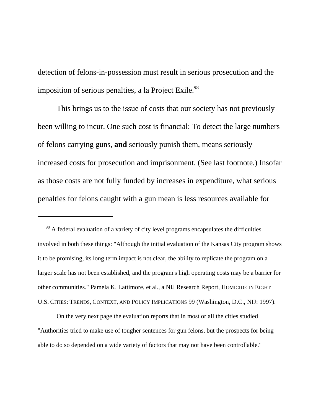detection of felons-in-possession must result in serious prosecution and the imposition of serious penalties, a la Project Exile.<sup>98</sup>

 This brings us to the issue of costs that our society has not previously been willing to incur. One such cost is financial: To detect the large numbers of felons carrying guns, **and** seriously punish them, means seriously increased costs for prosecution and imprisonment. (See last footnote.) Insofar as those costs are not fully funded by increases in expenditure, what serious penalties for felons caught with a gun mean is less resources available for

<span id="page-70-0"></span><sup>98</sup> A federal evaluation of a variety of city level programs encapsulates the difficulties involved in both these things: "Although the initial evaluation of the Kansas City program shows it to be promising, its long term impact is not clear, the ability to replicate the program on a larger scale has not been established, and the program's high operating costs may be a barrier for other communities." Pamela K. Lattimore, et al., a NIJ Research Report, HOMICIDE IN EIGHT U.S. CITIES: TRENDS, CONTEXT, AND POLICY IMPLICATIONS 99 (Washington, D.C., NIJ: 1997).

 $\overline{a}$ 

 On the very next page the evaluation reports that in most or all the cities studied "Authorities tried to make use of tougher sentences for gun felons, but the prospects for being able to do so depended on a wide variety of factors that may not have been controllable."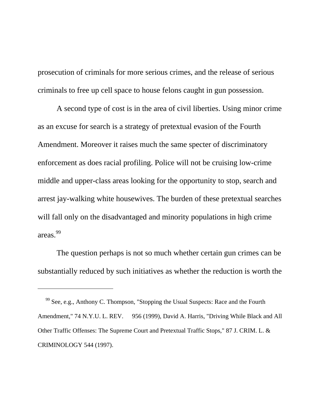prosecution of criminals for more serious crimes, and the release of serious criminals to free up cell space to house felons caught in gun possession.

 A second type of cost is in the area of civil liberties. Using minor crime as an excuse for search is a strategy of pretextual evasion of the Fourth Amendment. Moreover it raises much the same specter of discriminatory enforcement as does racial profiling. Police will not be cruising low-crime middle and upper-class areas looking for the opportunity to stop, search and arrest jay-walking white housewives. The burden of these pretextual searches will fall only on the disadvantaged and minority populations in high crime areas.[99](#page-71-0)

 The question perhaps is not so much whether certain gun crimes can be substantially reduced by such initiatives as whether the reduction is worth the

<span id="page-71-0"></span>99 See, e.g., Anthony C. Thompson, "Stopping the Usual Suspects: Race and the Fourth Amendment," 74 N.Y.U. L. REV. 956 (1999), David A. Harris, "Driving While Black and All Other Traffic Offenses: The Supreme Court and Pretextual Traffic Stops," 87 J. CRIM. L. & CRIMINOLOGY 544 (1997).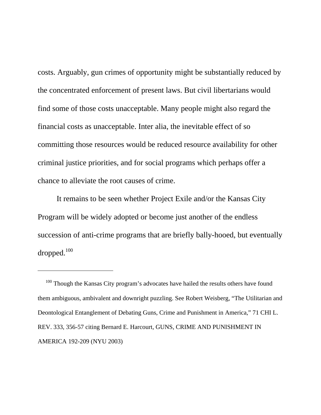costs. Arguably, gun crimes of opportunity might be substantially reduced by the concentrated enforcement of present laws. But civil libertarians would find some of those costs unacceptable. Many people might also regard the financial costs as unacceptable. Inter alia, the inevitable effect of so committing those resources would be reduced resource availability for other criminal justice priorities, and for social programs which perhaps offer a chance to alleviate the root causes of crime.

 It remains to be seen whether Project Exile and/or the Kansas City Program will be widely adopted or become just another of the endless succession of anti-crime programs that are briefly bally-hooed, but eventually dropped.<sup>[100](#page-72-0)</sup>

 $\overline{a}$ 

<span id="page-72-0"></span><sup>100</sup> Though the Kansas City program's advocates have hailed the results others have found them ambiguous, ambivalent and downright puzzling. See Robert Weisberg, "The Utilitarian and Deontological Entanglement of Debating Guns, Crime and Punishment in America," 71 CHI L. REV. 333, 356-57 citing Bernard E. Harcourt, GUNS, CRIME AND PUNISHMENT IN AMERICA 192-209 (NYU 2003)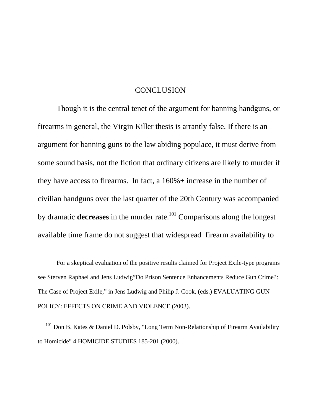## **CONCLUSION**

 Though it is the central tenet of the argument for banning handguns, or firearms in general, the Virgin Killer thesis is arrantly false. If there is an argument for banning guns to the law abiding populace, it must derive from some sound basis, not the fiction that ordinary citizens are likely to murder if they have access to firearms. In fact, a 160%+ increase in the number of civilian handguns over the last quarter of the 20th Century was accompanied by dramatic **decreases** in the murder rate.<sup>101</sup> Comparisons along the longest available time frame do not suggest that widespread firearm availability to

 For a skeptical evaluation of the positive results claimed for Project Exile-type programs see Sterven Raphael and Jens Ludwig"Do Prison Sentence Enhancements Reduce Gun Crime?: The Case of Project Exile," in Jens Ludwig and Philip J. Cook, (eds.) EVALUATING GUN POLICY: EFFECTS ON CRIME AND VIOLENCE (2003).

 $\overline{a}$ 

<span id="page-73-0"></span> $101$  Don B. Kates & Daniel D. Polsby, "Long Term Non-Relationship of Firearm Availability to Homicide" 4 HOMICIDE STUDIES 185-201 (2000).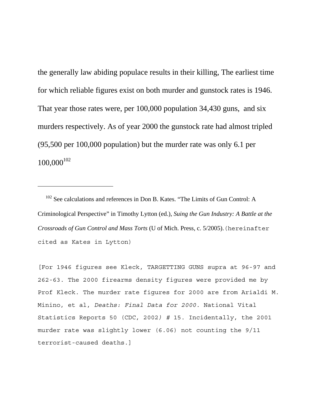the generally law abiding populace results in their killing, The earliest time for which reliable figures exist on both murder and gunstock rates is 1946. That year those rates were, per 100,000 population 34,430 guns, and six murders respectively. As of year 2000 the gunstock rate had almost tripled (95,500 per 100,000 population) but the murder rate was only 6.1 per  $100,000^{102}$  $100,000^{102}$  $100,000^{102}$ 

<span id="page-74-0"></span><sup>102</sup> See calculations and references in Don B. Kates. "The Limits of Gun Control: A Criminological Perspective" in Timothy Lytton (ed.), *Suing the Gun Industry: A Battle at the Crossroads of Gun Control and Mass Torts* (U of Mich. Press, c. 5/2005).(hereinafter cited as Kates in Lytton)

 $\overline{a}$ 

[For 1946 figures see Kleck, TARGETTING GUNS supra at 96-97 and 262-63. The 2000 firearms density figures were provided me by Prof Kleck. The murder rate figures for 2000 are from Arialdi M. Minino, et al, *Deaths: Final Data for 2000.* National Vital Statistics Reports 50 (CDC, 2002*) #* 15. Incidentally, the 2001 murder rate was slightly lower (6.06) not counting the 9/11 terrorist-caused deaths.]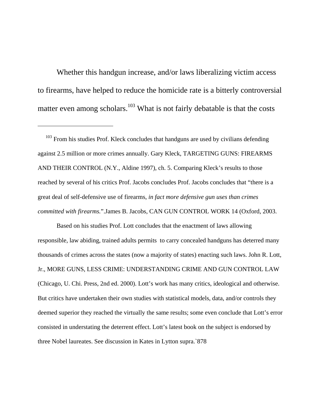Whether this handgun increase, and/or laws liberalizing victim access to firearms, have helped to reduce the homicide rate is a bitterly controversial matter even among scholars.<sup>103</sup> What is not fairly debatable is that the costs

<span id="page-75-0"></span> $103$  From his studies Prof. Kleck concludes that handguns are used by civilians defending against 2.5 million or more crimes annually. Gary Kleck, TARGETING GUNS: FIREARMS AND THEIR CONTROL (N.Y., Aldine 1997), ch. 5. Comparing Kleck's results to those reached by several of his critics Prof. Jacobs concludes Prof. Jacobs concludes that "there is a great deal of self-defensive use of firearms, *in fact more defensive gun uses than crimes committed with firearms.*".James B. Jacobs, CAN GUN CONTROL WORK 14 (Oxford, 2003.

 $\overline{a}$ 

 Based on his studies Prof. Lott concludes that the enactment of laws allowing responsible, law abiding, trained adults permits to carry concealed handguns has deterred many thousands of crimes across the states (now a majority of states) enacting such laws. John R. Lott, Jr., MORE GUNS, LESS CRIME: UNDERSTANDING CRIME AND GUN CONTROL LAW (Chicago, U. Chi. Press, 2nd ed. 2000). Lott's work has many critics, ideological and otherwise. But critics have undertaken their own studies with statistical models, data, and/or controls they deemed superior they reached the virtually the same results; some even conclude that Lott's error consisted in understating the deterrent effect. Lott's latest book on the subject is endorsed by three Nobel laureates. See discussion in Kates in Lytton supra.`878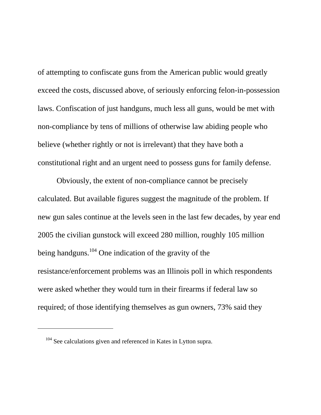of attempting to confiscate guns from the American public would greatly exceed the costs, discussed above, of seriously enforcing felon-in-possession laws. Confiscation of just handguns, much less all guns, would be met with non-compliance by tens of millions of otherwise law abiding people who believe (whether rightly or not is irrelevant) that they have both a constitutional right and an urgent need to possess guns for family defense.

 Obviously, the extent of non-compliance cannot be precisely calculated. But available figures suggest the magnitude of the problem. If new gun sales continue at the levels seen in the last few decades, by year end 2005 the civilian gunstock will exceed 280 million, roughly 105 million being handguns.[104](#page-76-0) One indication of the gravity of the resistance/enforcement problems was an Illinois poll in which respondents were asked whether they would turn in their firearms if federal law so required; of those identifying themselves as gun owners, 73% said they

<span id="page-76-0"></span><sup>&</sup>lt;sup>104</sup> See calculations given and referenced in Kates in Lytton supra.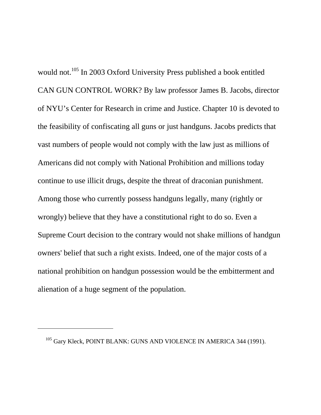would not.<sup>105</sup> In 2003 Oxford University Press published a book entitled CAN GUN CONTROL WORK? By law professor James B. Jacobs, director of NYU's Center for Research in crime and Justice. Chapter 10 is devoted to the feasibility of confiscating all guns or just handguns. Jacobs predicts that vast numbers of people would not comply with the law just as millions of Americans did not comply with National Prohibition and millions today continue to use illicit drugs, despite the threat of draconian punishment. Among those who currently possess handguns legally, many (rightly or wrongly) believe that they have a constitutional right to do so. Even a Supreme Court decision to the contrary would not shake millions of handgun owners' belief that such a right exists. Indeed, one of the major costs of a national prohibition on handgun possession would be the embitterment and alienation of a huge segment of the population.

<span id="page-77-0"></span><sup>&</sup>lt;sup>105</sup> Gary Kleck, POINT BLANK: GUNS AND VIOLENCE IN AMERICA 344 (1991).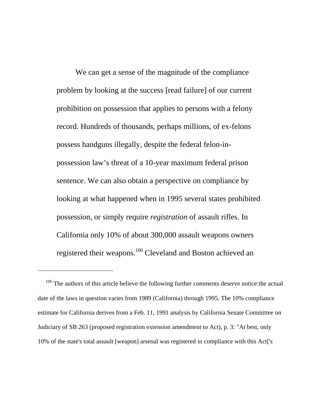We can get a sense of the magnitude of the compliance problem by looking at the success [read failure] of our current prohibition on possession that applies to persons with a felony record. Hundreds of thousands, perhaps millions, of ex-felons possess handguns illegally, despite the federal felon-inpossession law's threat of a 10-year maximum federal prison sentence. We can also obtain a perspective on compliance by looking at what happened when in 1995 several states prohibited possession, or simply require *registration* of assault rifles. In California only 10% of about 300,000 assault weapons owners registered their weapons.[106](#page-78-0) Cleveland and Boston achieved an

<span id="page-78-0"></span><sup>&</sup>lt;sup>106</sup> The authors of this article believe the following further comments deserve notice: the actual date of the laws in question varies from 1989 (California) through 1995. The 10% compliance estimate for California derives from a Feb. 11, 1991 analysis by California Senate Committee on Judiciary of SB 263 (proposed registration extension amendment to Act), p. 3: "At best, only 10% of the state's total assault [weapon] arsenal was registered in compliance with this Act['s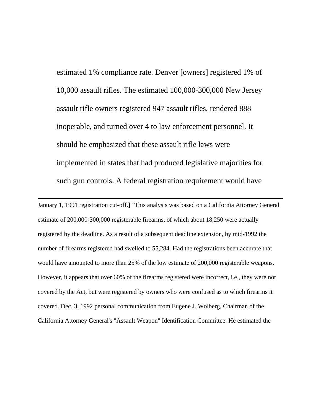estimated 1% compliance rate. Denver [owners] registered 1% of 10,000 assault rifles. The estimated 100,000-300,000 New Jersey assault rifle owners registered 947 assault rifles, rendered 888 inoperable, and turned over 4 to law enforcement personnel. It should be emphasized that these assault rifle laws were implemented in states that had produced legislative majorities for such gun controls. A federal registration requirement would have

January 1, 1991 registration cut-off.]" This analysis was based on a California Attorney General estimate of 200,000-300,000 registerable firearms, of which about 18,250 were actually registered by the deadline. As a result of a subsequent deadline extension, by mid-1992 the number of firearms registered had swelled to 55,284. Had the registrations been accurate that would have amounted to more than 25% of the low estimate of 200,000 registerable weapons. However, it appears that over 60% of the firearms registered were incorrect, i.e., they were not covered by the Act, but were registered by owners who were confused as to which firearms it covered. Dec. 3, 1992 personal communication from Eugene J. Wolberg, Chairman of the California Attorney General's "Assault Weapon" Identification Committee. He estimated the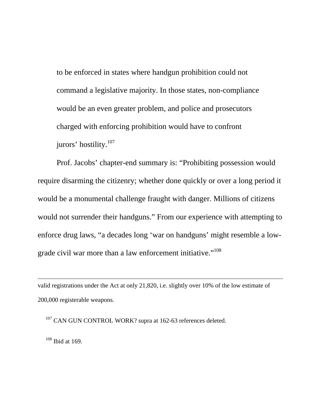to be enforced in states where handgun prohibition could not command a legislative majority. In those states, non-compliance would be an even greater problem, and police and prosecutors charged with enforcing prohibition would have to confront jurors' hostility.<sup>[107](#page-80-0)</sup>

 Prof. Jacobs' chapter-end summary is: "Prohibiting possession would require disarming the citizenry; whether done quickly or over a long period it would be a monumental challenge fraught with danger. Millions of citizens would not surrender their handguns." From our experience with attempting to enforce drug laws, "a decades long 'war on handguns' might resemble a lowgrade civil war more than a law enforcement initiative."<sup>108</sup>

valid registrations under the Act at only 21,820, i.e. slightly over 10% of the low estimate of 200,000 registerable weapons.

<span id="page-80-0"></span><sup>107</sup> CAN GUN CONTROL WORK? supra at 162-63 references deleted.

<span id="page-80-1"></span> $108$  Ibid at 169.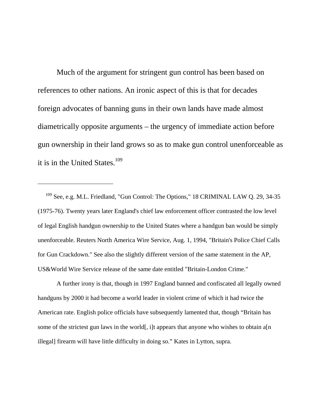Much of the argument for stringent gun control has been based on references to other nations. An ironic aspect of this is that for decades foreign advocates of banning guns in their own lands have made almost diametrically opposite arguments – the urgency of immediate action before gun ownership in their land grows so as to make gun control unenforceable as it is in the United States. $109$ 

<span id="page-81-0"></span><sup>109</sup> See, e.g. M.L. Friedland, "Gun Control: The Options," 18 CRIMINAL LAW Q. 29, 34-35 (1975-76). Twenty years later England's chief law enforcement officer contrasted the low level of legal English handgun ownership to the United States where a handgun ban would be simply unenforceable. Reuters North America Wire Service, Aug. 1, 1994, "Britain's Police Chief Calls for Gun Crackdown." See also the slightly different version of the same statement in the AP, US&World Wire Service release of the same date entitled "Britain-London Crime."

 $\overline{a}$ 

 A further irony is that, though in 1997 England banned and confiscated all legally owned handguns by 2000 it had become a world leader in violent crime of which it had twice the American rate. English police officials have subsequently lamented that, though "Britain has some of the strictest gun laws in the world[, i]t appears that anyone who wishes to obtain a[n] illegal] firearm will have little difficulty in doing so." Kates in Lytton, supra.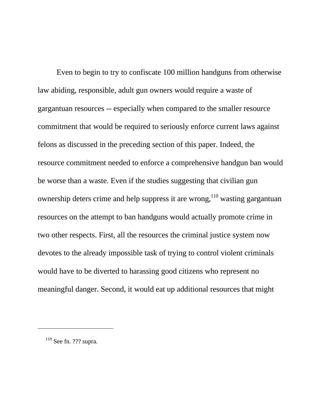Even to begin to try to confiscate 100 million handguns from otherwise law abiding, responsible, adult gun owners would require a waste of gargantuan resources -- especially when compared to the smaller resource commitment that would be required to seriously enforce current laws against felons as discussed in the preceding section of this paper. Indeed, the resource commitment needed to enforce a comprehensive handgun ban would be worse than a waste. Even if the studies suggesting that civilian gun ownership deters crime and help suppress it are wrong,  $110$  wasting gargantuan resources on the attempt to ban handguns would actually promote crime in two other respects. First, all the resources the criminal justice system now devotes to the already impossible task of trying to control violent criminals would have to be diverted to harassing good citizens who represent no meaningful danger. Second, it would eat up additional resources that might

<span id="page-82-0"></span> $110$  See fn. ??? supra.